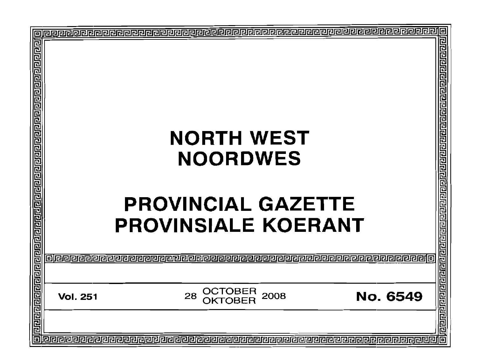|                 |                            |                 | E                            |
|-----------------|----------------------------|-----------------|------------------------------|
|                 |                            |                 | 리민민리민민리리                     |
|                 | <b>NORTH WEST</b>          |                 | 已已                           |
|                 |                            |                 |                              |
|                 | <b>NOORDWES</b>            |                 |                              |
|                 |                            |                 |                              |
|                 |                            |                 | 민                            |
|                 | <b>PROVINCIAL GAZETTE</b>  |                 |                              |
|                 |                            |                 |                              |
|                 | <b>PROVINSIALE KOERANT</b> |                 |                              |
|                 |                            |                 |                              |
|                 |                            |                 |                              |
| 112 Q           |                            |                 |                              |
|                 |                            |                 |                              |
| <b>Vol. 251</b> | OCTOBER<br>2008<br>28      | <b>No. 6549</b> | गिवाबाबाबाबाबाबाबाबाबाबाबाबा |
|                 | TOBER                      |                 |                              |
|                 |                            |                 |                              |
|                 |                            |                 |                              |
|                 |                            |                 |                              |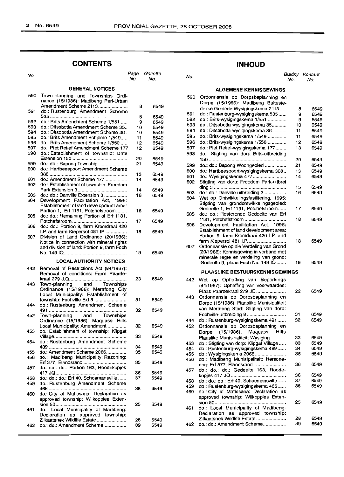## **CONTENTS**

| No.         |                                                                                        | Page<br>No. | Gazette<br>No. | No.  |                                                                                | Bladsy<br>No. | Koeran<br>No.   |
|-------------|----------------------------------------------------------------------------------------|-------------|----------------|------|--------------------------------------------------------------------------------|---------------|-----------------|
|             | <b>GENERAL NOTICES</b>                                                                 |             |                |      | <b>ALGEMENE KENNISGEWINGS</b>                                                  |               |                 |
| 590         | Town-planning and Townships Ordi-<br>nance (15/1986). Madibeng Peri-Urban              |             |                | 590  | Ordonnansie op Dorpsbeplanning en<br>Dorpe (15/1986): Madibeng Buiteste-       |               |                 |
|             | Amendment Scheme 2113                                                                  | 8           | 6549           |      | delike Gebiede Wysigingskema 2113                                              | 8             | 65              |
| 591         | do.: Rustenburg Amendment Scheme                                                       |             |                | 591  | do.: Rustenburg-wysigingskema 535                                              | 9             | 65              |
|             |                                                                                        | 8           | 6549           | 592  | do.: Brits-wysigingskema 1/551                                                 | 9             | 65              |
| 592         | do.: Brits Amendment Scheme 1/551                                                      | 9           | 6549           | 593  | do.: Ditsobotla-wysigingskema 35                                               | 10            | 65              |
| 593.        | do.: Ditsobotla Amendment Scheme 35                                                    | 10          | 6549           | 594  | do.: Ditsobotla-wysigingskema 36                                               | 11            | 65              |
| 594.        | do.: Ditsobotla Amendment Scheme 36.                                                   | 10          | 6549           | 595  | do.: Brits-wysigingskema 1/549                                                 | 11            | 65              |
| 595<br>596. | do.: Brits Amendment Schieme 1/549                                                     | 11          | 6549           | 596  | do.: Brits-wysigingskema 1/550                                                 | 12            | 65              |
| 597         | do.: Brits Amendment Scheme 1/550<br>do.: Piet Retief Amendment Scheme 177             | 12<br>12    | 6549           | 597  | do.: Piet Retief-wysigingskema 177                                             | 13            | 65              |
| 598         | do.: Establishment of township: Brits                                                  |             | 6549           |      |                                                                                |               |                 |
|             |                                                                                        | 20          | 6549           | 598  | do Stigting van dorp: Brits-uitbreiding                                        |               |                 |
| 599         | do.: do.: Bapong Township                                                              | 21          | 6549           |      |                                                                                | 20            | 65.             |
| 600         | do.: Hartbeespoort Amendment Scheme                                                    |             |                | 599  | do.: do.: Bapong Woongebied                                                    | 21            | 65              |
|             |                                                                                        | 13          | 6549           | 600  | do.: Hartbeespoort-wysigingskema 368                                           | 13            | 65              |
| 601         | do.: Amendment Scheme 477                                                              | 14          | 6549           | 601  |                                                                                | 14            | 65.             |
|             | 602 do.: Establishment of township: Freedom                                            |             |                | 602  | Stigting van dorp: Freedom Park-uitbrei                                        |               |                 |
|             |                                                                                        | 14          | 6549           |      |                                                                                | 15            | 65              |
| 603.        | do.: do.: Danville Extension 3                                                         | 16          | 6549           | 603  | do.: do.: Danville-uitbreiding 3                                               | 16            | 65.             |
| 604         | Development Facilitation Act, 1995:                                                    |             |                | 604  | Wet op Ontwikkelingsfasilitering, 1995:                                        |               |                 |
|             | Establishment of land development area:                                                |             |                |      | Stigting van grondontwikkelingsgebied:                                         | 17            | 65.             |
|             | Portion 1, Erf 1191, Potchefstroom                                                     | 16          | 6549           | 605  | Gedeelte 1, Erf 1191, Potchefstroom<br>do.: do.: Resterende Gedeelte van Erf   |               |                 |
| 605         | do.: do.: Remaining Portion of Erf 1181,                                               |             |                |      |                                                                                | 18            | 654             |
|             |                                                                                        | 17          | 6549           | 606  | Development Facilitation Act, 1995:                                            |               |                 |
| 606         | do.; do.; Portion 9, farm Kromdraai 420                                                |             |                |      | Establishment of land development area:                                        |               |                 |
|             | I.P. and farm Kiepersol 481 IP                                                         | 18          | 6549           |      | Portion 9, farm Kromdraai 420 I.P. and                                         |               |                 |
| 607         | Division of Land Ordinance (20/1986).                                                  |             |                |      |                                                                                | 18            | 654             |
|             | Notice in connection with mineral rights<br>and division of land: Portion 9, farm Foch |             |                | 607  | Ordonnansie op die Verdeling van Grond                                         |               |                 |
|             |                                                                                        | 19          | 6549           |      | (20/1986): Kennisgewing in verband met                                         |               |                 |
|             |                                                                                        |             |                |      | minerale regte en verdeling van grond:                                         |               |                 |
|             | <b>LOCAL AUTHORITY NOTICES</b>                                                         |             |                |      | Gedeelte 9, plaas Foch No. 149 IQ                                              | 19            | 654             |
| 442.        | Removal of Restrictions Act (84/1967):                                                 |             |                |      |                                                                                |               |                 |
|             | Removal of conditions: Farm Paarde-                                                    |             |                |      | PLAASLIKE BESTUURSKENNISGEWINGS                                                |               |                 |
|             |                                                                                        | 23          | 6549           |      | 442 Wet op Opheffing van Beperkings                                            |               |                 |
| 443.        | Town-planning<br>and<br>Townships                                                      |             |                |      | (84/1967): Ophetfing van voorwaardes:                                          |               |                 |
|             | Ordinance (15/1986): Merafong City                                                     |             |                |      | Plaas Paardekraal 279 JQ                                                       | 22            | 654             |
|             | Local Municipality: Establishment of                                                   |             |                | 443  | Ordonnansie op Dorpsbeplanning en                                              |               |                 |
|             |                                                                                        | 31          | 6549           |      | Dorpe (15/1986): Plaaslike Munisipaliteit                                      |               |                 |
| 444         | do.: Rustenburg Amendment Scheme                                                       |             |                |      | van Merafong Stad: Stigting van dorp:                                          |               |                 |
|             |                                                                                        | 32          | 6549           |      | Fochville-uitbreiding 8                                                        | 31            | 654             |
| 452 -       | and<br>Town-planning<br>Townships                                                      |             |                |      |                                                                                | 32            | 654             |
|             | Ordinance (15/1986): Maquassi Hills                                                    |             |                | 444  | do.: Rustenburg-wysigingskema 491                                              |               |                 |
| 453         | Local Municipality: Amendment<br>do.: Establishment of township: Klipgat               | 32          | 6549           | 452  | Ordonnansie op Dorpsbeplanning en                                              |               |                 |
|             |                                                                                        | 33          | 6549           |      | (15/1986): Maguassi Hills<br>Dorpe                                             |               |                 |
| 454         | do.: Rustenburg Amendment Scheme                                                       |             |                |      | Plaaslike Munisipaliteit: Wysiging                                             | 33            | 654             |
|             |                                                                                        | 34          | 6549           | 453  | do.: Stigting van dorp: Klipgat Village                                        | 33            | 654             |
| 455.        | do.: Amendment Scheme 2066                                                             | 35          | 6549           | 454  | do.: Rustenburg-wysigingskema 489                                              | 34            | 65              |
| 456 -       | do.: Madibeng Municipality: Rezoning:                                                  |             |                | 455  |                                                                                | 35            | 654             |
|             |                                                                                        | 35          | 6549           | 456  | do.: Madibeng Munisipaliteit: Hersone-                                         | 36            | 65              |
| 457         | do.: do.: do.: Portion 163, Roodekopjes                                                |             |                |      |                                                                                |               |                 |
|             | 417 JQ………………………………………………                                                               | 36          | 6549           | 457  | do.: do.: do.: Gedeelte 163, Roode-                                            | 36            | 654             |
| 458.        | do.: do.: do.: Erf 40, Schoemansville                                                  | 37          | 6549           | 458  | do.: do.: do.: Erf 40, Schoemansville                                          | 37            | 654             |
| 459         | do.: Rustenburg Amendment Scheme                                                       |             |                | 459  | do.: Rustenburg-wysigingskema 466                                              | 36            | 654             |
|             |                                                                                        | 38          | 6549           |      |                                                                                |               |                 |
| 460.        | do.: City of Matiosana: Declaration as                                                 |             |                | 460  | do.: City of Matiosana: Declaration as<br>approved township: Wilkoppies Exten- |               |                 |
|             | approved township: Wilkoppies Exten-                                                   |             |                |      |                                                                                | 25            | 65 <sup>′</sup> |
|             |                                                                                        | 25          | 6549           | 461. | do.: Local Municipality of Madibeng:                                           |               |                 |
| 461.        | do.: Local Municipality of Madibeng:                                                   |             |                |      | Declaration as approved township:                                              |               |                 |
|             | Declaration as approved township:                                                      |             |                |      | Zilkaatsnek Wildlife Estate                                                    | 28            | 65              |
|             | Zilkaatsnek Wildlife Estate                                                            | 28<br>39    | 6549<br>6549   | 462  | do.: do.: Amendment Scheme                                                     | 39            | 65.             |
| 462.        | do.: do.: Amendment Scheme                                                             |             |                |      |                                                                                |               |                 |

## **INHOUD**

|                                                |                                                                                                                                                                                                                                                                                                                                                                                                                                                                                                                                                                                                                               | ru.                                                                                                                                                                                                                                                                                                                                                                                                                                                                                                                                                                                                                                                                                                                                                                                                                                                                                    |
|------------------------------------------------|-------------------------------------------------------------------------------------------------------------------------------------------------------------------------------------------------------------------------------------------------------------------------------------------------------------------------------------------------------------------------------------------------------------------------------------------------------------------------------------------------------------------------------------------------------------------------------------------------------------------------------|----------------------------------------------------------------------------------------------------------------------------------------------------------------------------------------------------------------------------------------------------------------------------------------------------------------------------------------------------------------------------------------------------------------------------------------------------------------------------------------------------------------------------------------------------------------------------------------------------------------------------------------------------------------------------------------------------------------------------------------------------------------------------------------------------------------------------------------------------------------------------------------|
| <b>ALGEMENE KENNISGEWINGS</b>                  |                                                                                                                                                                                                                                                                                                                                                                                                                                                                                                                                                                                                                               |                                                                                                                                                                                                                                                                                                                                                                                                                                                                                                                                                                                                                                                                                                                                                                                                                                                                                        |
|                                                |                                                                                                                                                                                                                                                                                                                                                                                                                                                                                                                                                                                                                               |                                                                                                                                                                                                                                                                                                                                                                                                                                                                                                                                                                                                                                                                                                                                                                                                                                                                                        |
|                                                |                                                                                                                                                                                                                                                                                                                                                                                                                                                                                                                                                                                                                               |                                                                                                                                                                                                                                                                                                                                                                                                                                                                                                                                                                                                                                                                                                                                                                                                                                                                                        |
|                                                |                                                                                                                                                                                                                                                                                                                                                                                                                                                                                                                                                                                                                               | 6549                                                                                                                                                                                                                                                                                                                                                                                                                                                                                                                                                                                                                                                                                                                                                                                                                                                                                   |
|                                                | 9                                                                                                                                                                                                                                                                                                                                                                                                                                                                                                                                                                                                                             | 6549                                                                                                                                                                                                                                                                                                                                                                                                                                                                                                                                                                                                                                                                                                                                                                                                                                                                                   |
|                                                | 9                                                                                                                                                                                                                                                                                                                                                                                                                                                                                                                                                                                                                             | 6549                                                                                                                                                                                                                                                                                                                                                                                                                                                                                                                                                                                                                                                                                                                                                                                                                                                                                   |
|                                                | 10                                                                                                                                                                                                                                                                                                                                                                                                                                                                                                                                                                                                                            | 6549                                                                                                                                                                                                                                                                                                                                                                                                                                                                                                                                                                                                                                                                                                                                                                                                                                                                                   |
| do.: Ditsobotla-wysigingskema 36               | 11                                                                                                                                                                                                                                                                                                                                                                                                                                                                                                                                                                                                                            | 6549                                                                                                                                                                                                                                                                                                                                                                                                                                                                                                                                                                                                                                                                                                                                                                                                                                                                                   |
| do.: Brits-wysigingskema 1/549                 | 11                                                                                                                                                                                                                                                                                                                                                                                                                                                                                                                                                                                                                            | 6549                                                                                                                                                                                                                                                                                                                                                                                                                                                                                                                                                                                                                                                                                                                                                                                                                                                                                   |
| do.: Brits-wysigingskema 1/550                 | 12                                                                                                                                                                                                                                                                                                                                                                                                                                                                                                                                                                                                                            | 6549                                                                                                                                                                                                                                                                                                                                                                                                                                                                                                                                                                                                                                                                                                                                                                                                                                                                                   |
| do.: Piet Retief-wysigingskema 177             | 13                                                                                                                                                                                                                                                                                                                                                                                                                                                                                                                                                                                                                            | 6549                                                                                                                                                                                                                                                                                                                                                                                                                                                                                                                                                                                                                                                                                                                                                                                                                                                                                   |
| do.: Stigting van dorp: Brits-uitbreiding      |                                                                                                                                                                                                                                                                                                                                                                                                                                                                                                                                                                                                                               |                                                                                                                                                                                                                                                                                                                                                                                                                                                                                                                                                                                                                                                                                                                                                                                                                                                                                        |
|                                                | 20                                                                                                                                                                                                                                                                                                                                                                                                                                                                                                                                                                                                                            | 6549                                                                                                                                                                                                                                                                                                                                                                                                                                                                                                                                                                                                                                                                                                                                                                                                                                                                                   |
|                                                | 21                                                                                                                                                                                                                                                                                                                                                                                                                                                                                                                                                                                                                            | 6549                                                                                                                                                                                                                                                                                                                                                                                                                                                                                                                                                                                                                                                                                                                                                                                                                                                                                   |
| do.: Hartbeespoort-wysigingskema 368           | 13                                                                                                                                                                                                                                                                                                                                                                                                                                                                                                                                                                                                                            | 6549                                                                                                                                                                                                                                                                                                                                                                                                                                                                                                                                                                                                                                                                                                                                                                                                                                                                                   |
|                                                | 14                                                                                                                                                                                                                                                                                                                                                                                                                                                                                                                                                                                                                            | 6549                                                                                                                                                                                                                                                                                                                                                                                                                                                                                                                                                                                                                                                                                                                                                                                                                                                                                   |
|                                                |                                                                                                                                                                                                                                                                                                                                                                                                                                                                                                                                                                                                                               |                                                                                                                                                                                                                                                                                                                                                                                                                                                                                                                                                                                                                                                                                                                                                                                                                                                                                        |
|                                                |                                                                                                                                                                                                                                                                                                                                                                                                                                                                                                                                                                                                                               | 6549                                                                                                                                                                                                                                                                                                                                                                                                                                                                                                                                                                                                                                                                                                                                                                                                                                                                                   |
|                                                |                                                                                                                                                                                                                                                                                                                                                                                                                                                                                                                                                                                                                               | 6549                                                                                                                                                                                                                                                                                                                                                                                                                                                                                                                                                                                                                                                                                                                                                                                                                                                                                   |
|                                                |                                                                                                                                                                                                                                                                                                                                                                                                                                                                                                                                                                                                                               |                                                                                                                                                                                                                                                                                                                                                                                                                                                                                                                                                                                                                                                                                                                                                                                                                                                                                        |
|                                                |                                                                                                                                                                                                                                                                                                                                                                                                                                                                                                                                                                                                                               | 6549                                                                                                                                                                                                                                                                                                                                                                                                                                                                                                                                                                                                                                                                                                                                                                                                                                                                                   |
|                                                |                                                                                                                                                                                                                                                                                                                                                                                                                                                                                                                                                                                                                               |                                                                                                                                                                                                                                                                                                                                                                                                                                                                                                                                                                                                                                                                                                                                                                                                                                                                                        |
|                                                | 18                                                                                                                                                                                                                                                                                                                                                                                                                                                                                                                                                                                                                            | 6549                                                                                                                                                                                                                                                                                                                                                                                                                                                                                                                                                                                                                                                                                                                                                                                                                                                                                   |
|                                                |                                                                                                                                                                                                                                                                                                                                                                                                                                                                                                                                                                                                                               |                                                                                                                                                                                                                                                                                                                                                                                                                                                                                                                                                                                                                                                                                                                                                                                                                                                                                        |
| Establishment of land development area:        |                                                                                                                                                                                                                                                                                                                                                                                                                                                                                                                                                                                                                               |                                                                                                                                                                                                                                                                                                                                                                                                                                                                                                                                                                                                                                                                                                                                                                                                                                                                                        |
| Portion 9, farm Kromdraai 420 I.P. and         |                                                                                                                                                                                                                                                                                                                                                                                                                                                                                                                                                                                                                               |                                                                                                                                                                                                                                                                                                                                                                                                                                                                                                                                                                                                                                                                                                                                                                                                                                                                                        |
| farm Kiepersol 481 I.P                         | 18                                                                                                                                                                                                                                                                                                                                                                                                                                                                                                                                                                                                                            | 6549                                                                                                                                                                                                                                                                                                                                                                                                                                                                                                                                                                                                                                                                                                                                                                                                                                                                                   |
|                                                |                                                                                                                                                                                                                                                                                                                                                                                                                                                                                                                                                                                                                               |                                                                                                                                                                                                                                                                                                                                                                                                                                                                                                                                                                                                                                                                                                                                                                                                                                                                                        |
|                                                |                                                                                                                                                                                                                                                                                                                                                                                                                                                                                                                                                                                                                               |                                                                                                                                                                                                                                                                                                                                                                                                                                                                                                                                                                                                                                                                                                                                                                                                                                                                                        |
|                                                |                                                                                                                                                                                                                                                                                                                                                                                                                                                                                                                                                                                                                               |                                                                                                                                                                                                                                                                                                                                                                                                                                                                                                                                                                                                                                                                                                                                                                                                                                                                                        |
|                                                |                                                                                                                                                                                                                                                                                                                                                                                                                                                                                                                                                                                                                               | 6549                                                                                                                                                                                                                                                                                                                                                                                                                                                                                                                                                                                                                                                                                                                                                                                                                                                                                   |
|                                                |                                                                                                                                                                                                                                                                                                                                                                                                                                                                                                                                                                                                                               |                                                                                                                                                                                                                                                                                                                                                                                                                                                                                                                                                                                                                                                                                                                                                                                                                                                                                        |
|                                                |                                                                                                                                                                                                                                                                                                                                                                                                                                                                                                                                                                                                                               |                                                                                                                                                                                                                                                                                                                                                                                                                                                                                                                                                                                                                                                                                                                                                                                                                                                                                        |
|                                                |                                                                                                                                                                                                                                                                                                                                                                                                                                                                                                                                                                                                                               |                                                                                                                                                                                                                                                                                                                                                                                                                                                                                                                                                                                                                                                                                                                                                                                                                                                                                        |
| Plaas Paardekraal 279 JQ                       | 22                                                                                                                                                                                                                                                                                                                                                                                                                                                                                                                                                                                                                            | 6549                                                                                                                                                                                                                                                                                                                                                                                                                                                                                                                                                                                                                                                                                                                                                                                                                                                                                   |
|                                                |                                                                                                                                                                                                                                                                                                                                                                                                                                                                                                                                                                                                                               |                                                                                                                                                                                                                                                                                                                                                                                                                                                                                                                                                                                                                                                                                                                                                                                                                                                                                        |
|                                                |                                                                                                                                                                                                                                                                                                                                                                                                                                                                                                                                                                                                                               |                                                                                                                                                                                                                                                                                                                                                                                                                                                                                                                                                                                                                                                                                                                                                                                                                                                                                        |
|                                                |                                                                                                                                                                                                                                                                                                                                                                                                                                                                                                                                                                                                                               |                                                                                                                                                                                                                                                                                                                                                                                                                                                                                                                                                                                                                                                                                                                                                                                                                                                                                        |
| Fochville-uitbreiding 8                        | 31                                                                                                                                                                                                                                                                                                                                                                                                                                                                                                                                                                                                                            | 6549                                                                                                                                                                                                                                                                                                                                                                                                                                                                                                                                                                                                                                                                                                                                                                                                                                                                                   |
|                                                | 32                                                                                                                                                                                                                                                                                                                                                                                                                                                                                                                                                                                                                            | 6549                                                                                                                                                                                                                                                                                                                                                                                                                                                                                                                                                                                                                                                                                                                                                                                                                                                                                   |
|                                                |                                                                                                                                                                                                                                                                                                                                                                                                                                                                                                                                                                                                                               |                                                                                                                                                                                                                                                                                                                                                                                                                                                                                                                                                                                                                                                                                                                                                                                                                                                                                        |
| $(15/1986)$ :<br>Hills<br>Dorpe                |                                                                                                                                                                                                                                                                                                                                                                                                                                                                                                                                                                                                                               |                                                                                                                                                                                                                                                                                                                                                                                                                                                                                                                                                                                                                                                                                                                                                                                                                                                                                        |
|                                                | 33                                                                                                                                                                                                                                                                                                                                                                                                                                                                                                                                                                                                                            | 6549                                                                                                                                                                                                                                                                                                                                                                                                                                                                                                                                                                                                                                                                                                                                                                                                                                                                                   |
| do.: Stigting van dorp: Klipgat Village        | 33                                                                                                                                                                                                                                                                                                                                                                                                                                                                                                                                                                                                                            | 6549                                                                                                                                                                                                                                                                                                                                                                                                                                                                                                                                                                                                                                                                                                                                                                                                                                                                                   |
| do.: Rustenburg-wysigingskema 489              | 34                                                                                                                                                                                                                                                                                                                                                                                                                                                                                                                                                                                                                            | 6549                                                                                                                                                                                                                                                                                                                                                                                                                                                                                                                                                                                                                                                                                                                                                                                                                                                                                   |
| do.: Wysigingskema 2066                        | 35                                                                                                                                                                                                                                                                                                                                                                                                                                                                                                                                                                                                                            | 6549                                                                                                                                                                                                                                                                                                                                                                                                                                                                                                                                                                                                                                                                                                                                                                                                                                                                                   |
|                                                |                                                                                                                                                                                                                                                                                                                                                                                                                                                                                                                                                                                                                               |                                                                                                                                                                                                                                                                                                                                                                                                                                                                                                                                                                                                                                                                                                                                                                                                                                                                                        |
|                                                |                                                                                                                                                                                                                                                                                                                                                                                                                                                                                                                                                                                                                               | 6549                                                                                                                                                                                                                                                                                                                                                                                                                                                                                                                                                                                                                                                                                                                                                                                                                                                                                   |
|                                                |                                                                                                                                                                                                                                                                                                                                                                                                                                                                                                                                                                                                                               |                                                                                                                                                                                                                                                                                                                                                                                                                                                                                                                                                                                                                                                                                                                                                                                                                                                                                        |
|                                                |                                                                                                                                                                                                                                                                                                                                                                                                                                                                                                                                                                                                                               | 6549<br>6549                                                                                                                                                                                                                                                                                                                                                                                                                                                                                                                                                                                                                                                                                                                                                                                                                                                                           |
|                                                |                                                                                                                                                                                                                                                                                                                                                                                                                                                                                                                                                                                                                               | 6549                                                                                                                                                                                                                                                                                                                                                                                                                                                                                                                                                                                                                                                                                                                                                                                                                                                                                   |
|                                                |                                                                                                                                                                                                                                                                                                                                                                                                                                                                                                                                                                                                                               |                                                                                                                                                                                                                                                                                                                                                                                                                                                                                                                                                                                                                                                                                                                                                                                                                                                                                        |
|                                                |                                                                                                                                                                                                                                                                                                                                                                                                                                                                                                                                                                                                                               |                                                                                                                                                                                                                                                                                                                                                                                                                                                                                                                                                                                                                                                                                                                                                                                                                                                                                        |
|                                                | 25                                                                                                                                                                                                                                                                                                                                                                                                                                                                                                                                                                                                                            | 6549                                                                                                                                                                                                                                                                                                                                                                                                                                                                                                                                                                                                                                                                                                                                                                                                                                                                                   |
|                                                |                                                                                                                                                                                                                                                                                                                                                                                                                                                                                                                                                                                                                               |                                                                                                                                                                                                                                                                                                                                                                                                                                                                                                                                                                                                                                                                                                                                                                                                                                                                                        |
| Declaration<br>approved township:<br><b>as</b> |                                                                                                                                                                                                                                                                                                                                                                                                                                                                                                                                                                                                                               |                                                                                                                                                                                                                                                                                                                                                                                                                                                                                                                                                                                                                                                                                                                                                                                                                                                                                        |
| Zilkaatsnek Wildlife Estate                    | 28                                                                                                                                                                                                                                                                                                                                                                                                                                                                                                                                                                                                                            | 6549                                                                                                                                                                                                                                                                                                                                                                                                                                                                                                                                                                                                                                                                                                                                                                                                                                                                                   |
| do.: do.: Amendment Scheme                     | 39                                                                                                                                                                                                                                                                                                                                                                                                                                                                                                                                                                                                                            | 6549                                                                                                                                                                                                                                                                                                                                                                                                                                                                                                                                                                                                                                                                                                                                                                                                                                                                                   |
|                                                | 1181, Potchefstroom<br>minerale regte en verdeling van grond:<br>Gedeelte 9, plaas Foch No. 149 IQ<br>Wet op Opheffing van Beperkings<br>(84/1967): Opheffing van voorwaardes:<br>Ordonnansie op Dorpsbeplanning en<br>van Merafong Stad: Stigting van dorp:<br>do.: Rustenburg-wysigingskema 491<br>Ordonnansie op Dorpsbeplanning en<br>Maquassi<br>Plaaslike Munisipaliteit: Wysiging<br>do.: Madibeng Munisipaliteit: Hersone-<br>ring: Erf 377, Elandsrand<br>do.: do.: do.: Gedeelte 163, Roode-<br>do.: Rustenburg-wysigingskema 466<br>do.: City of Matiosana: Declaration as<br>approved township: Wilkoppies Exten- | Ordonnansie op Dorpsbeplanning en<br>Dorpe (15/1986): Madibeng Buiteste-<br>delike Gebiede Wysigingskema 2113<br>8<br>do.: Rustenburg-wysigingskema 535<br>do.: Brits-wysigingskema 1/551<br>do.: Ditsobotla-wysigingskema 35<br>do.: do.: Bapong Woongebied<br>do.: Wysigingskema 477<br>Stigting van dorp: Freedom Park-uitbrei<br>15<br>do.: do.: Danville-uitbreiding 3<br>16<br>Wet op Ontwikkelingsfasilitering, 1995:<br>Stigting van grondontwikkelingsgebied:<br>Gedeelte 1, Erf 1191, Potchefstroom<br>17<br>do.: do.: Resterende Gedeelte van Erf<br>Development Facilitation Act, 1995:<br>Ordonnansie op die Verdeling van Grond<br>(20/1986): Kennisgewing in verband met<br>19<br>PLAASLIKE BESTUURSKENNISGEWINGS<br>Dorpe (15/1986): Plaaslike Munisipaliteit<br>36<br>36<br>do.: do.: do.: Erf 40, Schoemansville<br>37<br>36<br>do.: Local Municipality of Madibeng: |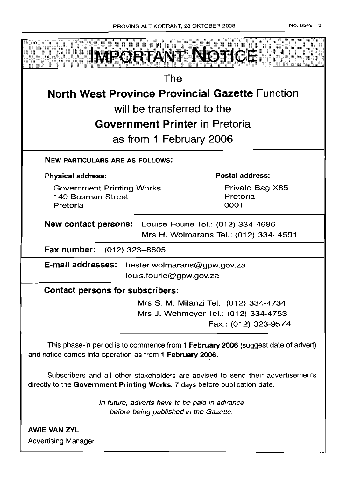| <b>IMPORTANT NOTICE</b>                                                                                                                                       |  |  |  |  |
|---------------------------------------------------------------------------------------------------------------------------------------------------------------|--|--|--|--|
| The                                                                                                                                                           |  |  |  |  |
| <b>North West Province Provincial Gazette Function</b>                                                                                                        |  |  |  |  |
| will be transferred to the                                                                                                                                    |  |  |  |  |
| <b>Government Printer in Pretoria</b>                                                                                                                         |  |  |  |  |
| as from 1 February 2006                                                                                                                                       |  |  |  |  |
| <b>NEW PARTICULARS ARE AS FOLLOWS:</b>                                                                                                                        |  |  |  |  |
| <b>Postal address:</b><br><b>Physical address:</b>                                                                                                            |  |  |  |  |
| <b>Government Printing Works</b><br>Private Bag X85<br>149 Bosman Street<br>Pretoria<br>Pretoria<br>0001                                                      |  |  |  |  |
| <b>New contact persons:</b> Louise Fourie Tel.: (012) 334-4686<br>Mrs H. Wolmarans Tel.: (012) 334-4591                                                       |  |  |  |  |
| Fax number:<br>$(012)$ 323–8805                                                                                                                               |  |  |  |  |
| E-mail addresses:<br>hester.wolmarans@gpw.gov.za<br>louis.fourie@gpw.gov.za                                                                                   |  |  |  |  |
| <b>Contact persons for subscribers:</b>                                                                                                                       |  |  |  |  |
| Mrs S. M. Milanzi Tel.: (012) 334-4734                                                                                                                        |  |  |  |  |
| Mrs J. Wehmeyer Tel.: (012) 334-4753                                                                                                                          |  |  |  |  |
| Fax.: (012) 323-9574                                                                                                                                          |  |  |  |  |
| This phase-in period is to commence from 1 February 2006 (suggest date of advert)<br>and notice comes into operation as from 1 February 2006.                 |  |  |  |  |
| Subscribers and all other stakeholders are advised to send their advertisements<br>directly to the Government Printing Works, 7 days before publication date. |  |  |  |  |
| In future, adverts have to be paid in advance<br>before being published in the Gazette.                                                                       |  |  |  |  |

AWIE VAN ZVL Advertising Manager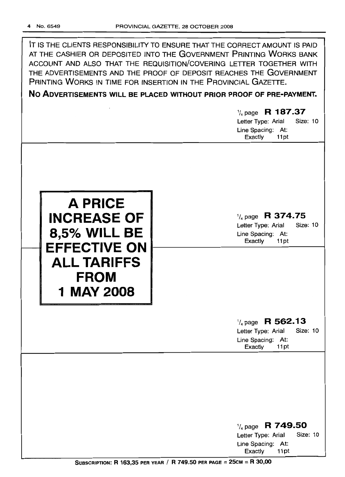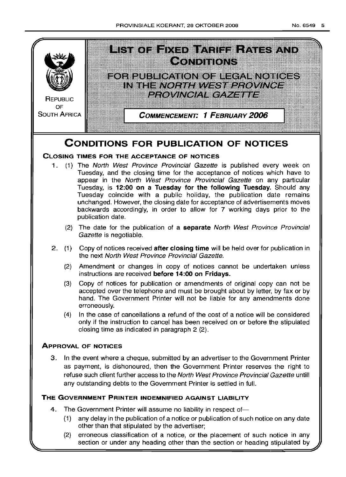

(2) erroneous classification of a notice, or the placement of such notice in any section or under any heading other than the section or heading stipulated by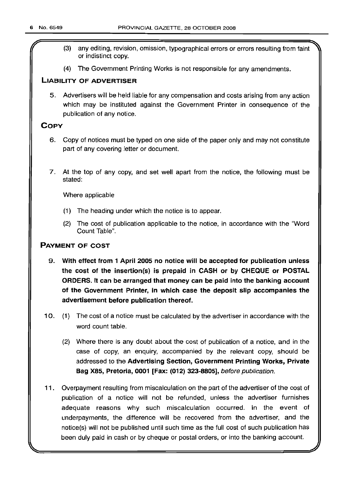- (3) any editing, revision, omission, typographical errors or errors resulting from faint or indistinct copy.
- (4) The Government Printing Works is not responsible for any amendments.

### LIABILITY OF ADVERTISER

5. Advertisers will be held liable for any compensation and costs arising from any action which may be instituted against the Government Printer in consequence of the publication of any notice.

## **COPY**

- 6. Copy of notices must be typed on one side of the paper only and may not constitute part of any covering letter or document.
- 7. At the top of any copy, and set well apart from the notice, the following must be stated:

Where applicable

- (1) The heading under which the notice is to appear.
- (2) The cost of publication applicable to the notice, in accordance with the "Word Count Table".

## PAYMENT OF COST

- 9. With effect from 1 April 2005 no notice will be accepted for publication unless the cost of the insertion(s) is prepaid in CASH or by CHEQUE or POSTAL ORDERS. It can be arranged that money can be paid into the banking account of the Government Printer, in which case the deposit slip accompanies the advertisement before publication thereof.
- 10. (1) The cost of a notice must be calculated by the advertiser in accordance with the word count table.
	- (2) Where there is any doubt about the cost of publication of a notice, and in the case of copy, an enquiry, accompanied by the relevant copy, should be addressed to the Advertising Section, Government Printing Works, Private Bag X85, Pretoria, 0001 [Fax: (012) 323-8805], before publication.
- 11. Overpayment resulting from miscalculation on the part of the advertiser of the cost of publication of a notice will not be refunded, unless the advertiser furnishes adequate reasons why such miscalculation occurred. In the event of underpayments, the difference will be recovered from the advertiser, and the notice(s) will not be published until such time as the full cost of such publication has been duly paid in cash or by cheque or postal orders, or into the banking account.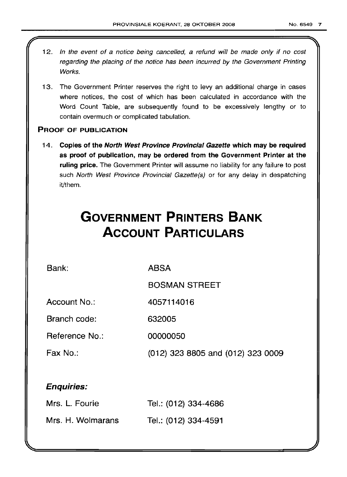- 12. In the event of a notice being cancelled, a refund will be made only if no cost regarding the placing of the notice has been incurred by the Government Printing Works.
- 13. The Government Printer reserves the right to levy an additional charge in cases where notices, the cost of which has been calculated in accordance with the Word Count Table, are subsequently found to be excessively lengthy or to contain overmuch or complicated tabulation.

## PROOF OF PUBLICATION

14. Copies of the North West Province Provincial Gazette which may be required as proof of publication, may be ordered from the Government Printer at the ruling price. The Government Printer will assume no liability for any failure to post such North West Province Provincial Gazette(s) or for any delay in despatching it/them.

# **GOVERNMENT PRINTERS BANK ACCOUNT PARTICULARS**

Bank:

ABSA

BOSMAN STREET

Account No.: 4057114016

Branch code: 632005

Reference No.: 00000050

Fax No.: (012) 323 8805 and (012) 323 0009

## Enquiries:

| Mrs. L. Fourie    | Tel.: (012) 334-4686 |
|-------------------|----------------------|
| Mrs. H. Wolmarans | Tel.: (012) 334-4591 |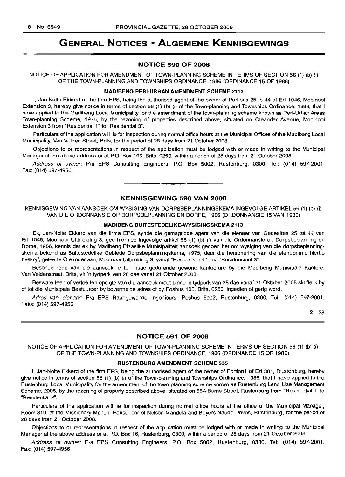## **GENERAL NOTICES • ALGEMENE KENNISGEWINGS**

#### **NOTICE 590 OF 2008**

NOTICE OF APPLICATION FOR AMENDMENT OF TOWN-PLANNING SCHEME IN TERMS OF SECTION 56 (1) (b) (i) OF THE TOWN-PLANNING AND TOWNSHIPS ORDINANCE, 1986 (ORDINANCE 15 OF 1986)

#### **MADIBENG PERI-URBAN AMENDMENT SCHEME** 2113

I, Jan-Nolte Ekkerd of the firm EPS, being the authorised agent of the owner of Portions 25 to 44 of Erf 1046, Mooinooi Extension 3, hereby give notice in terms of section 56 (1) (b) (i) of the Town-planning and Townships Ordinance, 1986, that I have applied to the Madibeng Local Municipality for the amendment of the town-planning scheme known as Peri-Urban Areas Town-planning Scheme, 1975, by the rezoning of properties described above, situated on Oleander Avenue, Mooinooi Extension 3 from "Residential 1" to "Residential 3".

Particulars of the application will lie for inspection during normal office hours at the Municipal Offices of the Madibeng Local Municipality, Van Velden Street, Brits, for the period of 28 days from 21 October 2008.

Objections to or representations in respect of the application must be lodged with or made in writing to the Municipal Manager at the above address or at P.O. Box 106, Brits, 0250, within a period of 28 days from 21 October 2008.

Address of owner: *Pia* EPS Consulting Engineers, P.O. Box 5002, Rustenburg, 0300. Tel: (014) 597-2001. Fax: (014) 597-4956. .**- .**

#### **KENNISGEWING 590 VAN 2008**

KENNISGEWING VAN MNSOEK OM WYSIGING VAN DORPSBEPLANNINGSKEMA INGEVOLGE ARTIKEL 56 (1) (b) (i) VAN DIE ORDONNANSIE OP DORPSBEPLANNING EN DORPE, 1986 (ORDONNANSIE 15 VAN 1986)

#### **MADIBENG BUITESTEDELIKE-WYSIGINGSKEMA** 2113

Ek, Jan-Nolte Ekkerd van die firma EPS, synde die gemagtigde agent van die eienaar van Gedeeltes 25 tot 44 van Erf 1046, Mooinooi Uitbreiding 3, gee hiermee ingevolge artikel 56 (1) (b) (i) van die Ordonnansie op Dorpsbeplanning en Dorpe, 1986, kennis dat ek by Madibeng Plaaslike Munisipaliteit aansoek gedoen het om wysiging van die dorpsbeplanningskema bekend as Buitestedelike Gebiede Dorpsbeplanningskema, 1975, deur die hersonering van die eiendomme hierbo beskryf, geleë te Oleanderlaan, Mooinooi Uitbreiding 3, vanaf "Residensieel 1" na "Residensieel 3".

Besonderhede van die aansoek lê ter insae gedurende gewone kantoorure by die Madibeng Munisipale Kantore, Van Veldenstraat, Brits, vir 'n tydperk van 28 dae vanaf 21 Oktober 2008.

Besware teen of vertoë ten opsigte van die aansoek moet binne 'n tydperk van 28 dae vanaf 21 Oktober 2008 skriftelik by of tot die Munisipale Bestuurder by bovermelde adres of by Posbus 106, Brits, 0250, ingedien of gerig word.

Adres van eienaar: *Pia* EPS Raadgewende Ingenieurs, Posbus 5002, Rustenburg, 0300. Tel: (014) 597-2001. Faks: (014) 597-4956.

21-28

#### **NOTICE 591 OF 2008**

NOTICE OF APPLICATION FOR AMENDMENT OF TOWN-PLANNING SCHEME IN TERMS OF SECTION 56 (1) (b) (i) OF THE TOWN-PLANNING AND TOWNSHIPS ORDINANCE, 1986 (ORDINANCE 15 OF 1986)

#### **RUSTENBURG AMENDMENT SCHEME** 535

I, Jan-Nolte Ekkerd of the firm EPS, being the authorised agent of the owner of Portion1 of Erf 381, Rustenburg, hereby give notice in terms of section 56 (1) (b) (i) of the Town-planning and Townships Ordinance, 1986, that I have applied to the Rustenburg Local Municipality for the amendment of the town-planning scheme known as Rustenburg Land Use Management Scheme, 2005, by the rezoning of property described above, situated on 55A Burns Street, Rustenburg from "Residential 1" to "Residential 2".

Particulars of the application will lie for inspection during normal office hours at the office of the Municipal Manager, Room 319, at the Missionary Mpheni House, cnr of Nelson Mandela and Beyers Naude Drives, Rustenburg, for the period of 28 days from 21 October 2008.

Objections to or representations in respect of the application must be lodged with or made in writing to the Municipal Manager at the above address or at P.O. Box 16, Rustenburg, 0300, within a period of 28 days from 21 October 2008.

Address of owner: Pia EPS Consultinq Engineers, P.O. Box 5002, Rustenburg, 0300. Tel: (014) 597-2001. Fax: (014) 597-4956.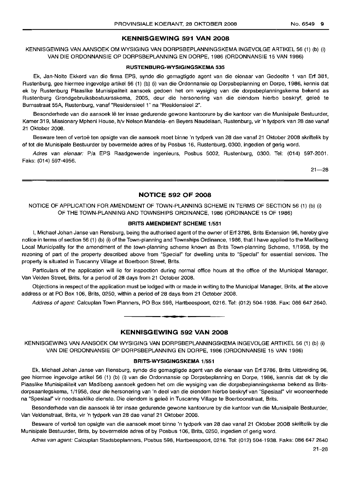#### **KENNISGEWING 591 VAN 2008**

KENNISGEWING VAN AANSOEK OM WYSIGING VAN DORPSBEPLANNINGSKEMA INGEVOLGE ARTIKEL 56 (1) (b) (i) VAN DIE ORDONNANSIE OP DORPSBEPLANNING EN DORPE, 1986 (ORDONNANSIE 15 VAN 1986)

#### **RUSTENBURG-WYSIGINGSKEMA** 535

Ek, Jan-Nolte Ekkerd van die firma EPS, synde die gemagtigde agent van die eienaar van Gedeelte 1 van Erf 381, Rustenburg, gee hiermee ingevolge artikel 56 (1) (b) (i) van die Ordonnansie op Dorpsbeplanning en Dorpe, 1986, kennis dat ek by Rustenburg Plaaslike Munisipaliteit aansoek gedoen het om wysiging van die dorpsbeplanningskema bekend as Rustenburg Grondgebruiksbestuursskema, 2005, deur die hersonering van die eiendom hierbo beskryf, geleë te Burnsstraat 55A, Rustenburg, vanaf "ResidensieeI1" na "Residensieel 2".

Besonderhede van die aansoek lê ter insae gedurende gewone kantoorure by die kantoor van die Munisipale Bestuurder, Karner 319, Missionary Mpheni House, h/v Nelson Mandela- en Beyers Naudelaan, Rustenburg, vir 'n tydperk van 28 dae vanaf 21 Oktober 2008.

Besware teen of vertoe ten opsigte van die aansoek moet binne 'n tydperk van 28 dae vanaf 21 Oktober 2008 skriftelik by of tot die Munisipale Bestuurder by bovermelde adres of by Posbus 16, Rustenburg, 0300, ingedien of gerig word.

Adres van eienaar: P/a EPS Raadgewende Ingenieurs, Posbus 5002, Rustenburg, 0300. Tel: (014) 597-2001. Faks: (014) 597-4956.

 $21 - 28$ 

#### **NOTICE 592 OF 2008**

NOTICE OF APPLICATION FOR AMENDMENT OF TOWN-PLANNING SCHEME IN TERMS OF SECTION 56 (1) (b) (i) OF THE TOWN-PLANNING AND TOWNSHIPS ORDINANCE, 1986 (ORDINANCE 15 OF 1986)

#### **BRITS AMENDMENT SCHEME** 1/551

I, Michael Johan Janse van Rensburg, being the authorised agent of the owner of Erf 3786, Brits Extension 96, hereby give notice in terms of section 56 (1) (b) (i) of the Town-planning and Townships Ordinance, 1986, that I have applied to the Madibeng Local Municipality for the amendment of the town-planning scheme known as Brits Town-planning Scheme, 1/1958, by the rezoning of part of the property described above from "Special" for dwelling units to "Special" for essential services. The property is situated in Tuscanny Village at Boerboon Street, Brits.

Particulars of the application will lie for inspection during normal office hours at the office of the Municipal Manager, Van Velden Street, Brits, for a period of 28 days from 21 October 2008.

Objections in respect of the application must be lodged with or made in writing to the Municipal Manager, Brits, at the above address or at PO Box 106, Brits, 0250, within a period of 28 days from 21 October 2008.

Address of agent: Calcuplan Town Planners, PO Box 598, Hartbeespoort, 0216. Tel: (012) 504-1938. Fax: 086 647 2640. .**-.**

#### **KENNISGEWING 592 VAN 2008**

KENNISGEWING VAN AANSOEK OM WYSIGING VAN DORPSBEPLANNINGSKEMA INGEVOLGE AHTIKEL 56 (1) (b) (i) VAN DIE ORDONNANSIE OP DORPSBEPLANNING EN DORPE, 1986 (ORDONNANSIE 15 VAN 1986)

#### **BRITS-WYSIGINGSKEMA** 1/551

Ek, Michael Johan Janse van Rensburg, synde die gemagtigde agent van die eienaar van Erf 3786. Brits Uitbreiding 96, gee hiermee ingevolge artikel 56 (1) (b) (i) van die Ordonnansie op Dorpsbeplanning en Dorpe, 1986, kennis dat ek by die Plaaslike Munisipaliteit van Madibeng aansoek gedoen het om die wysiging van die dorpsbeplanningskema bekend as Britsdorpsaanlegskema, 1/1958, deur die hersonering van 'n deel van die eiendom hierbo beskryf van "Spesiaal" vir wooneenhede na "Spesiaal" vir noodsaaklike dienste. Die eiendom is geleë in Tuscanny Village te Boerboonstraat, Brits.

Besonderhede van die aansoek lê ter insae gedurende gewone kantoorure by die kantoor van die Munisipale Bestuurder, Van Veldenstraat, Brits, vir 'n tydperk van 28 dae vanaf 21 Oktober 2008.

Besware of vertoë ten opsigte van die aansoek moet binne 'n tydperk van 28 dae vanaf 21 Oktober 2008 skriftelik by die Munisipale Bestuurder, Brits, by bovermelde adres of by Posbus 106, Brits, 0250, ingedien of gerig word.

Adres van agent: Calcuplan Stadsbeplanners, Posbus 598, Hartbeespoort, 0216. Tel: (012) 504-1938. Faks: 086 647 2640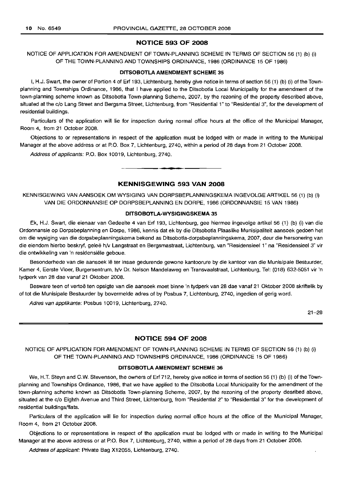#### **NOTICE 593 OF 2008**

NOTICE OF APPLICATION FOR AMENDMENT OF TOWN-PLANNING SCHEME IN TERMS OF SECTION 56 (1) (b) (i) OF THE TOWN-PLANNING AND TOWNSHIPS ORDINANCE, 1986 (ORDINANCE 15 OF 1986)

#### **DITSOBOTLA AMENDMENT SCHEME 35**

I, H.J. Swart, the owner of Portion 4 of Erf 193, Lichtenburg, hereby give notice in terms of section 56 (1) (b) (i) of the Townplanning and Townships Ordinance, 1986, that I have applied to the Ditsobotla Local Municipality for the amendment of the town-planning scheme known as Ditsobotla Town-planning Scheme, 2007, by the rezoning of the property described above, situated at the c/o Lang Street and Bergsma Street, Lichtenburg, from "Residential 1" to "Residential 3", for the development of residential buildings.

Particulars of the application will lie for inspection during normal office hours at the office of the Municipal Manager, Room 4, from 21 October 2008.

Objections to or representations in respect of the application must be lodged with or made in writing to the Municipal Manager at the above address or at P.O. Box 7, Lichtenburg, 2740, within a period of 28 days from 21 October 2008.

Address of applicants: P.O. Box 10019, Lichtenburg, 2740.

#### **KENNISGEWING 593 VAN 2008**

• **• •**

KENNISGEWING VAN AANSOEK OM WYSIGING VAN DORPSBEPLANNINGSKEMA INGEVOLGE ARTIKEL 56 (1) (b) (i) VAN DIE ORDONNANSIE OP DORPSBEPLANNING EN DORPE, 1986 (ORDONNANSIE 15 VAN 1986)

#### **DITSOBOTLA-WYSIGINGSKEMA 35**

Ek, H.J. Swart, die eienaar van Gedeelte 4 van Erf 193, Lichtenburg, gee hiermee ingevolge artikel 56 (1) (b) (i) van die Ordonnansie op Dorpsbeplanning en Dorpe, 1986, kennis dat ek by die Ditsobotla Plaaslike Munisipaliteit aansoek gedoen het om die wysiging van die dorpsbeplanningskema bekend as Ditsobotla-dorpsbeplanningskema, 2007, deur die hersonering van die eiendom hierbo beskryf, gelee h/v Langstraat en Bergsmastraat, Lichtenburg, van "Residensieel 1" na "Residensieel 3" vir die ontwikkeling van 'n residensiële geboue.

Besonderhede van die aansoek lê ter insae gedurende gewone kantoorure by die kantoor van die Munisipale Bestuurder, Kamer 4, Eerste Vloer, Burgersentrum, h/v Dr. Nelson Mandelaweg en Transvaalstraat, Lichtenburg, Tel: (018) 632-5051 vir 'n tydperk van 28 dae vanaf 21 Oktober 2008.

Besware teen of vertoë ten opsigte van die aansoek moet binne 'n tydperk van 28 dae vanaf 21 Oktober 2008 skriftelik by of tot die Munisipale Bestuurder by bovermelde adres of by Posbus 7, Lichtenburg, 2740, ingedien of gerig word.

Adres van applikante: Posbus 10019, Lichtenburg, 2740.

21-28

#### **NOTICE 594 OF 2008**

NOTICE OF APPLICATION FOR AMENDMENT OF TOWN-PLANNING SCHEME IN TERMS OF SECTION 56 (1) (b) (i) OF THE TOWN-PLANNING AND TOWNSHIPS ORDINANCE, 1986 (ORDINANCE 15 OF 1986)

#### **DITSOBOTLA AMENDMENT SCHEME 36**

We, H.T. Steyn and C.W. Stevenson, the owners of Erf 712, hereby give notice in terms of section 56 (1) (b) (i) of the Townplanning and Townships Ordinance, 1986, that we have applied to the Ditsobotla Local Municipality for the amendment of the town-planning scheme known as Ditsobotla Town-planning Scheme, 2007, by the rezoning of the property desribed above, situated at the c/o Eighth Avenue and Third Street, Lichtenburg, from "Residential 2" to "Residential 3" for the development of residential buildings/flats.

Particulars of the application will lie for inspection during normal office hours at the office of the Municipal Manager, Room 4, from 21 October 2008.

Objections to or representations in respect of the application must be lodged with or made in writing to the Municipal Manager at the above address or at P.O. Box 7, Lichtenburg, 2740, within a period of 28 days from 21 October 2008.

Address of applicant: Private Bag X12055, Lichtenburg, 2740.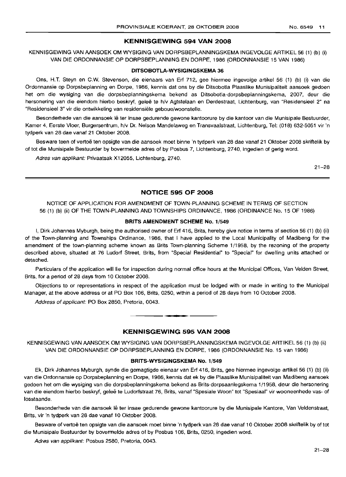#### **KENNISGEWING 594 VAN 2008**

KENNISGEWING VAN AANSOEK OM WYSIGING VAN DORPSBEPLANNINGSKEMA INGEVOLGE ARTIKEL 56 (1) (b) (i) VAN DIE ORDONNANSIE OP DORPSBEPLANNING EN DORPE, 1986 (ORDONNANSIE 15 VAN 1986)

#### **DITSOBOTLA-WYSIGINGSKEMA 36**

Ons, H.T. Steyn en C.W. Stevenson, die eienaars van Erf 712, gee hiermee ingevolge artikel 56 (1) (b) (i) van die Ordonnansie op Dorpsbeplanning en Dorpe, 1986, kennis dat ons by die Ditsobotla Plaaslike Munisipaliteit aansoek gedoen het om die wysiging van die dorpsbeplanningskema bekend as Ditsobotla-dorpsbeplanningskema, 2007, deur die hersonering van die eiendom hierbo beskryf, geleë te h/v Agtstelaan en Derdestraat, Lichtenburg, van "Residensieel 2" na "Residensieel 3" vir die ontwikkeling van residensiele geboue/woonstelle.

Besonderhede van die aansoek lê ter insae gedurende gewone kantoorure by die kantoor van die Munisipale Bestuurder, Kamer 4, Eerste Vloer, Burgersentrum, h/v Dr. Nelson Mandelaweg en Transvaalstraat, Lichtenburg, Tel: (018) 632-5051 vir 'n tydperk van 28 dae vanaf 21 Oktober 2008.

Besware teen of vertoe ten opsigte van die aansoek moet binne 'n tydperk van 28 dae vanaf 21 Oktober 2008 skriftelik by of tot die Munisipale Bestuurder by bovermelde adres of by Posbus 7, Lichtenburg, 2740, ingedien of gerig word.

Adres van applikant: Privaatsak X12055, Lichtenburg, 2740.

21-28

### **NOTICE 595 OF 2008**

NOTICE OF APPLICATION FOR AMENDMENT OF TOWN-PLANNING SCHEME IN TERMS OF SECTION 56 (1) (b) (ii) OF THE TOWN-PLANNING AND TOWNSHIPS ORDINANCE, 1986 (ORDINANCE No. 15 OF 1986)

#### **BRITS AMENDMENT SCHEME No.** 1/549

I, Dirk Johannes Myburgh, being the authorised owner of Erf 416, Brits, hereby give notice in terms of section 56 (1) (b) (ii) of the Town-planning and Townships Ordinance, 1986, that I have applied to the Local Municipality of Madibeng for the amendment of the town-planning scheme known as Brits Town-planning Scheme 1/1958, by the rezoning of the property described above, situated at 76 Ludorf Street, Brits, from "Special Residential" to "Special" for dwelling units attached or detached.

Particulars of the application will lie for inspection during normal office hours at the Municipal Offices, Van Velden Street, Brits, for a period of 28 days from 10 October 2008.

Objections to or representations in respect of the application must be lodged with or made in writing to the Municipal Manager, at the above address or at PO Box 106, Brits, 0250, within a period of 28 days from 10 October 2008.

Address of applicant: PO Box 2850, Pretoria, 0043.

#### **KENNISGEWING 595 VAN 2008**

**• •**

KENNISGEWING VAN AANSOEK OM WYSIGING VAN DORPSBEPLANNINGSKEMA INGEVOLGE ARTIKEL 56 (1) (b) (ii) VAN DIE ORDONNANSIE OP DORPSBEPLANNING EN DORPE, 1986 (ORDONNANSIE No. 15 van 1986)

#### **BRITS-WYSIGINGSKEMA No.** 1/549

Ek, Dirk Johannes Myburgh, synde die gemagtigde eienaar van Erf 416, Brits, gee hiermee ingevolge artikel 56 (1) (b) (ii) van die Ordonnansie op Dorpsbeplanning en Dorpe, 1986, kennis dat ek by die Plaaslike Munisipaliteit van Madibeng aansoek gedoen het om die wysiging van die dorpsbeplanningskema bekend as Brits-dorpsaanlegskema 1/1958, deur die hersonering van die eiendom hierbo beskryf, geleë te Ludorfstraat 76, Brits, vanaf "Spesiale Woon" tot "Spesiaal" vir wooneenhede vas- of losstaande.

Besonderhede van die aansoek lê ter insae gedurende gewone kantoorure by die Munisipale Kantore, Van Veldenstraat, Brits, vir 'n tydperk van 28 dae vanaf 10 Oktober 2008.

Besware of vertoë ten opsigte van die aansoek moet binne 'n tydperk van 28 dae vanaf 10 Oktober 2008 skriftelik by of tot die Munisipale Bestuurder by bovermelde adres of by Posbus 106, Brits, 0250, ingedien word.

Adres van applikant: Posbus 2580, Pretoria, 0043.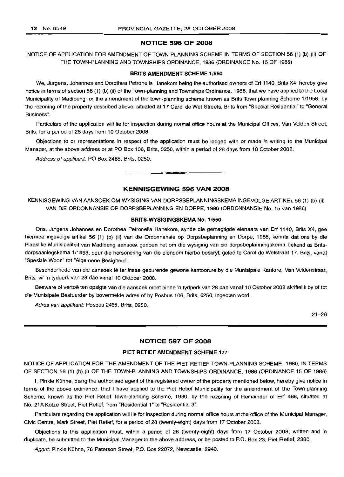#### **NOTICE 596 OF 2008**

NOTICE OF APPLICATION FOR AMENDMENT OF TOWN-PLANNING SCHEME IN TERMS OF SECTION 56 (1) (b) (ii) OF THE TOWN-PLANNING AND TOWNSHIPS ORDINANCE, 1986 (ORDINANCE No. 15 OF 1986)

#### **BRITS AMENDMENT SCHEME** 1/550

We, Jurgens, Johannes and Dorothea Petronella Hanekom being the authorised owners of Erf 1140, Brits X4, hereby give notice in terms of section 56 (1) (b) (ii) of the Town-planning and Townships Ordinance, 1986, that we have applied to the Local Municipality of Madibeng for the amendment of the town-planning scheme known as Brits Town-planning Scheme 1/1958, by the rezoning of the property described above, situated at 17 Carel de Wet Streets, Brits from "Special Residential" to "General Business".

Particulars of the application will lie for inspection during normal office hours at the Municipal Offices, Van Velden Street, Brits, for a period of 28 days from 10 October 2008.

Objections to or representations in respect of the application must be lodged with or made in writing to the Municipal Manager, at the above address or at PO Box 106, Brits, 0250, within a period of 28 days from 10 October 2008.

Address of applicant: PO Box 2465, Brits, 0250.

#### **KENNISGEWING 596 VAN 2008**

**-**

KENNISGEWING VAN AANSOEK OM WYSIGING VAN DORPSBEPLANNINGSKEMA INGEVOLGE ARTIKEL 56 (1) (b) (ii) VAN DIE ORDONNANSIE OP DORPSBEPLANNING EN DORPE, 1986 (ORDONNANSIE No. 15 van 1986)

#### **BRITS-WYSIGINGSKEMA** No. 1/550

Ons, Jurgens Johannes en Dorothea Petronella Hanekom, synde die gemagtigde eienaars van Erf 1140, Brits X4, gee hiermee ingevolge artikel 56 (1) (b) (ii) van die Ordonnansie op Dorpsbeplanning en Dorpe, 1986, kennis dat ons by die Plaaslike Munisipaliteit van Madibeng aansoek gedoen het om die wysiging van die dorpsbeplanningskema bekend as Britsdorpsaanlegskema 1/1958, deur die hersonering van die eiendom hierbo beskryf, geleë te Carel de Wetstraat 17, Brits, vanaf "Spesiale Woon" tot "Algemene Besigheid".

Besonderhede van die aansoek lê ter insae gedurende gewone kantoorure by die Munisipale Kantore, Van Veldenstraat, Brits, vir 'n tydperk van 28 dae vanaf 10 Oktober 2008.

Besware of vertoë ten opsigte van die aansoek moet binne 'n tydperk van 28 dae vanaf 10 Oktober 2008 skriftelik by of tot die Munisipale Bestuurder by bovermelde adres of by Posbus 106, Brits, 0250, ingedien word.

Adres van applikant: Posbus 2465, Brits, 0250.

21-26

#### **NOTICE 597 OF 2008**

#### **PIET RETIEF AMENDMENT SCHEME** 177

NOTICE OF APPLICATION FOR THE AMENDMENT OF THE PIET RETIEF TOWN-PLANNING SCHEME, 1980, IN TERMS OF SECTION 56 (1) (b) (i) OF THE TOWN-PLANNING AND TOWNSHIPS ORDINANCE, 1986 (ORDINANCE 15 OF 1986)

I, Pinkie Kuhne, being the authorised agent of the registered owner of the property mentioned below, hereby give notice in terms of the above ordinance, that I have applied to the Piet Retief Municipality for the amendment of the Town-planning Scheme, known as the Piet Retief Town-planning Scheme, 1980, by the rezoning of Remainder of Erf 466, situated at No. 21A Kotze Street, Piet Retief, from "Residential 1" to "Residential 3".

Particulars regarding the application will lie for inspection during normal office hours at the office of the Municipal Manager, Civic Centre, Mark Street, Piet Retief, for a period of 28 (twenty-eight) days from 17 October 2008.

Objections to this application must, within a period of 28 (twenty-eight) days from 17 October 2008, written and in duplicate, be submitted to the Municipal Manager to the above address, or be posted to P.O. Box 23, Piet Retief, 2380.

Agent: Pinkie Kühne, 76 Paterson Street, P.O. Box 22072, Newcastle, 2940.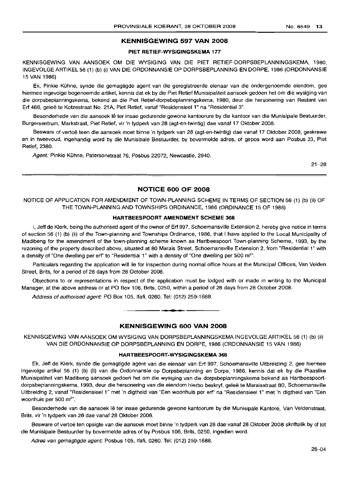#### **KENNISGEWING 597 VAN 2008**

#### **PIET RETIEF-WYSIGINGSKEMA 177**

KENNISGEWING VAN AANSOEK OM DIE WYSIGING VAN DIE PIET RETIEF-DORPSBEPLANNINGSKEMA, 1980, INGEVOLGE ARTIKEL 56 (1) (b) (i) VAN DIE ORDONNANSIE OP DORPSBEPLANNING EN DORPE, 1986 (ORDONNANSIE 15 VAN 1986)

Ek, Pinkie Kuhne, synde die gemagtigde agent van die geregistreerde eienaar van die ondergenoemde eiendom, gee hiermee ingevolge bogenoemde artikel, kennis dat ek by die Piet Retief Munisipaliteit aansoek gedoen het om die wysiging van die dorpsbeplanningskema, bekend as die Piet Retief-dorpsbeplanningskema, 1980, deur die hersonering van Restant van Erf 466, geleë te Kotzestraat No. 21A, Piet Retief, vanaf "Residensieel 1" na "Residential 3".

Besonderhede van die aansoek Ie ter insae gedurende gewone kantoorure by die kantoor van die Munisipale Bestuurder, Burgersentrum, Markstraat, Piet Retief, vir 'n tydperk van 28 (agt-en-twintig) dae vanaf 17 Oktober 2008.

Besware of vertoë teen die aansoek moet binne 'n tydperk van 28 (agt-en-twintig) dae vanaf 17 Oktober 2008, geskrewe en in tweevoud, ingehandig word by die Munisipale Bestuurder, by bovermelde adres, of gepos word aan Posbus 23, Piet Retief, 2380.

Agent: Pinkie Kühne, Patersonstraat 76, Posbus 22072, Newcastle, 2940.

21-28

#### **NOTICE 600 OF 2008**

NOTICE OF APPLICATION FOR AMENDMENT OF TOWN-PLANNING SCHEME IN TERMS OF SECTION 56 (1) (b) (ii) OF THE TOWN-PLANNING AND TOWNSHIPS ORDINANCE, 1986 (ORDINANCE 15 OF 1986)

#### **HARTBEESPOORT AMENDMENT SCHEME 368**

I, Jeff de Klerk, being the authorised agent of the owner of Erf 997, Schoemansville Extension 2, hereby give notice in terms of section 56 (1) (b) (ii) of the Town-planning and Townships Ordinance, 1986, that I have applied to the Local Municipality of Madibeng for the amendment of the town-planning scheme known as Hartbeespoort Town-planning Scheme, 1993, by the rezoning of the property described above, situated at 80 Marais Street, Schoemansville Extension 2, from "Residential 1" with a density of "One dwelling per erf" to "Residential 1" with a density of "One dwelling per 500 m<sup>2</sup>".

Particulars regarding the application will lie for inspection during normal office hours at the Municipal Offices, Van Velden Street, Brits, for a period of 28 days from 28 October 2008.

Objections to or representations in respect of the application must be lodged with or made in writing to the Municipal Manager, at the above address or at PO Box 106, Brits, 0250, within a period of 28 days from 28 October 2008.

Address of authorised agent: PO Box 105, Ifafi, 0260. Tel: (012) 259-1688.

#### **KENNISGEWING 600 VAN 2008**

.**- .**

KENNISGEWING VAN AANSOEK OM WYSIGING VAN DORPSBEPLANNINGSKEMA INGEVOLGE AFITIKEL 56 (1) (b) (ii) VAN DIE ORDONNANSIE OP DORPSBEPLANNING EN DORPE, 1986 (ORDONNANSIE 15 VAN 1986)

#### **HARTBEESPOORT-WYSIGINGSKEMA 368**

Ek, Jeff de Klerk, synde die gemagtigde agent van die eienaar van Erf 997, Schoemansville Uitbreiding 2, gee hiermee lnqevolqe artikel 56 (1) (b) (ii) van die Ordonnansie op Dorpsbeplanning en Dorpe, 1986, kennis dat ek by die Plaaslike Munisipaliteit van Madibeng aansoek gedoen het om die wysiging van die dorpsbeplanningskema bekend as Hartbeespoortdorpsbeplanningskema, 1993, deur die hersonering van die eiendom hierbo beskryf, gelee te Maraisstraat 80, Schoemansville Uitbreiding 2, vanaf "Residensieel 1" met 'n digtheid van "Een woonhuis per erf' na "Residensieel 1" met 'n digtheid van "Een woonhuis per 500  $m<sup>2</sup>$ .

Besonderhede van die aansoek Ie ter insae gedurende gewone kantoorure by die Munisipale Kantore, Van Veldenstraat, Brits, vir 'n tydperk van 28 dae vanaf 28 Oktober 2008.

Besware of vertoë ten opsigte van die aansoek moet binne 'n tydperk van 28 dae vanaf 28 Oktober 2008 skriftelik by of tot die Munisipale Bestuurder by bovermelde adres of by Posbus 106, Brits, 0250, ingedien word.

Adres van gemagtigde agent: Posbus 105, Ifafi, 0260. Tel: (012) 259-1688.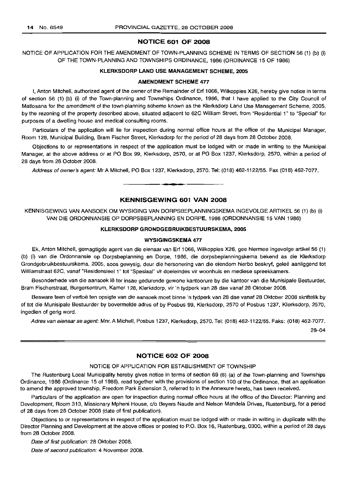#### **NOTICE 601 OF 2008**

NOTICE OF APPLICATION FOR THE AMENDMENT OF TOWN-PLANNING SCHEME IN TERMS OF SECTION 56 (1) (b) (i) OF THE TOWN-PLANNING AND TOWNSHIPS ORDINANCE, 1986 (ORDINANCE 15 OF 1986)

#### **KLERKSDORP LAND USE MANAGEMENT SCHEME, 2005**

#### **AMENDMENT SCHEME 477**

I, Anton Mitchell, authorized agent of the owner of the Remainder of Erf 1066, Wilkoppies X26, hereby give notice in terms of section 56 (1) (b) (i) of the Town-planning and Townships Ordinance, 1986, that I have applied to the City Council of Matlosana for the amendment of the town-planning scheme known as the Klerksdorp Land Use Management Scheme, 2005, by the rezoning of the property described above, situated adjacent to 62C William Street, from "Residential 1" to "Special" for purposes of a dwelling house and medical consulting rooms.

Particulars of the application will lie for inspection during normal office hours at the office of the Municipal Manager, Room 128, Municipal Building, Bram Fischer Street, Klerksdorp for the period of 28 days from 28 October 2008.

Objections to or representations in respect of the application must be lodged with or made in writing to the Municipal Manager, at the above address or at PO Box 99, Klerksdorp, 2570, or at PO Box 1237, Klerksdorp, 2570, within a period of 28 days from 28 October 2008.

Address of owner's agent: Mr A Mitchell, PO Box 1237, Klerksdorp, 2570. Tel: (018) 462-1122/55. Fax (018) 462-7077.

#### **KENNISGEWING 601 VAN 2008**

**• •**

KENNISGEWING VAN AANSOEK OM WYSIGING VAN DORPSBEPLANNINGSKEMA INGEVOLGE ARTIKEL 56 (1) (b) (i) VAN DIE ORDONNANSIE OP DORPSBEPLANNING EN DORPE, 1986 (ORDONNANSIE 15 VAN 1986)

#### **KLERKSDORP GRONDGEBRUIKBESTUURSKEMA, 2005**

#### **WYSIGINGSKEMA 477**

Ek, Anton Mitchell, gemagtigde agent van die eienaar van Erf 1066, Wilkoppies X26, gee hiermee ingevolge artikel 56 (1) (b) (i) van die Ordonnansie op Dorpsbeplanning en Dorpe, 1986, die dorpsbeplanningskema bekend as die Klerksdorp Grondgebruikbestuurskema, 2005, soos gewysig, deur die hersonering van die eiendom hierbo beskryf, qelee aanliggend tot Williamstraat 62C, vanaf "Residensieel 1" tot "Spesiaal" vir doeleindes vir woonhuis en mediese spreekkamers.

Besonderhede van die aansoek Ie ter insae gedurende gewone kantoorure by die kantoor van die Munisipale Bestuurder, Bram Fischerstraat, Burgersentrum, Kamer 128, Klerksdorp, vir 'n tydperk van 28 dae vanaf 28 Oktober 2008.

Besware teen of vertoë ten opsigte van die aansoek moet binne 'n tydperk van 28 dae vanaf 28 Oktober 2008 skriftelik by of tot die Munisipale Bestuurder by bovermelde adres of by Posbus 99, Klerksdorp, 2570 of Posbus 1237, Klerksdorp, 2570, ingedien of gerig word.

Adres van eienaar se agent: Mm. A Michell, Posbus 1237, Klerksdorp, 2570. Tel: (018) 462-1122/55. Faks: (018) 462-7077.

28-04

#### **NOTICE 602 OF 2008**

#### NOTICE OF APPLICATION FOR ESTABLISHMENT OF TOWNSHIP

The Rustenburg Local Municipality hereby gives notice in terms of section 69 (6) (a) of the Town-planning and Townships Ordinance, 1986 (Ordinance 15 of 1986), read together with the provisions of section 100 of the Ordinance, that an application to amend the approved township, Freedom Park Extension 3, referred to in the Annexure hereto, has been received.

Particulars of the application are open for inspection during normal office hours at the office of the Director: Planning and Development, Room 313, Missionary Mpheni House, c/o Beyers Naude and Nelson Mandela Drives, Rustenburg, for a period of 28 days from 28 October 2008 (date of first publication).

Objections to or representations in respect of the application must be lodged with or made in writing in duplicate with the Director Planning and Development at the above offices or posted to P.O. Box 16, Rustenburg, 0300, within a period of 28 days from 28 October 2008.

Date of first publication: 28 Oktober 2008.

Date of second publication: 4 November 2008.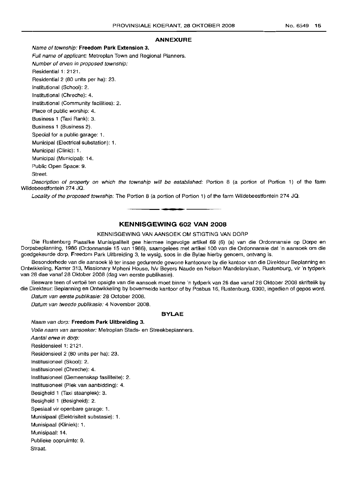#### **ANNEXURE**

Name of township: **Freedom Park Extension** 3.

Full name of applicant: Metroplan Town and Regional Planners. Number of erven in proposed township: Residential 1: 2121. Residential 2 (80 units per ha): 23. Institutional (School): 2. Institutional (Chreche): 4. Institutional (Community facilities): 2. Place of public worship: 4. Business 1 (Taxi Rank): 3. Business 1 (Business 2). Special for a public garage: 1. Municipal (Electrical substation): 1. Municipal (Clinic): 1. Municipal (Municipal): 14. Public Open Space: 9. Street.

Description of property on which the township will be established: Portion 8 (a portion of Portion 1) of the farm Wildebeestfontein 274 JQ.

Locality of the proposed township: The Portion 8 (a portion of Portion 1) of the farm Wildebeestfontein 274 JQ.

#### **KENNISGEWING 602 VAN 2008**

**• •**

#### KENNISGEWING VAN AANSOEK OM STIGTING VAN DORP

Die Rustenburg Plaaslike Munisipaliteit gee hiermee ingevolge artikel 69 (6) (a) van die Ordonnansie op Dorpe en Dorpsbeplanning, 1986 (Ordonnansie 15 van 1986), saamgelees met artikel 100 van die Ordonnansie dat 'n aansoek om die goedgekeurde dorp, Freedom Park Uitbreiding 3, te wysig, soos in die Bylae hierby genoem, ontvang is.

Besonderhede van die aansoek lê ter insae gedurende gewone kantoorure by die kantoor van die Direkteur Beplanning en Ontwikkeling, Kamer 313, Missionary Mpheni House, h/v Beyers Naude en Nelson Mandelarylaan, Rustenburg, vir 'n tydperk van 28 dae vanaf 28 Oktober 2008 (dag van eerste publikasie).

Besware teen of vertoë ten opsigte van die aansoek moet binne 'n tydperk van 28 dae vanaf 28 Oktober 2008 skriftelik by die Direkteur: Beplanning en Ontwikkeling by bovermelde kantoor of by Posbus 16, Rustenburg, 0300, ingedien of gepos word.

Datum van eerste publikasie: 28 October 2008.

Datum van tweede publikasie: 4 November 2008.

#### **BYLAE**

/lJaam van dorp: **Freedom Park Uitbreiding** 3. Volle naam van aansoeker: Metroplan Stads- en Streekbeplanners. Aantal erwe in dorp: Residensieel 1: 2121. Residensieel 2 (80 units per ha): 23. Institusioneel (Skool): 2. Institusioneel (Chreche): 4. Institusioneel (Gemeenskap fasiliteite): 2. Institusioneel (Plek van aanbidding): 4. Besigheid 1 (Taxi staanplek): 3. Besigheid 1 (Besigheid): 2. Spesiaal vir openbare garage: 1. Munisipaal (Elektrisiteit substasie): 1. Munisipaal (Kliniek): 1. Munisipaal: 14. Publieke oopruimte: 9. Straat.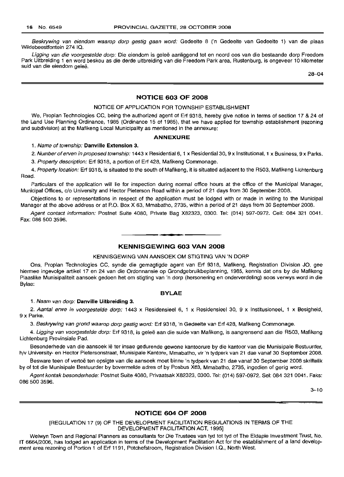Beskrywing van eiendom waarop dorp gestig gaan word: Gedeelte 8 ('n Gedeelte van Gedeelte 1) van die plaas Wildebeestfontein 274 IQ.

Ligging van die voorgestelde dorp: Die eiendom is geleë aanliggend tot en noord oos van die bestaande dorp Freedom Park Uitbreiding 1 en word beskou as die derde uitbreiding van die Freedom Park area, Rustenburg, is ongeveer 10 kilometer suid van die eiendom geleë.

28-04

#### **NOTICE 603 OF 2008**

#### NOTICE OF APPLICATION FOR TOWNSHIP ESTABLISHMENT

We, Proplan Technologies CC, being the authorized agent of Erf 9318, hereby give notice in terms of section 17 & 24 of the Land Use Planning Ordinance, 1985 (Ordinance 15 of 1985), that we have applied for township establishment (rezoning and subdivision) at the Mafikeng Local Municipality as mentioned in the annexure:

#### **ANNEXURE**

#### 1. Name of township: **Danville Extension** 3.

2. Number of erven in proposed township: 1443 x Residential 6, 1 x Residential 30, 9 x Institutional, 1 x Business, 9 x Parks.

3. Property description: Erf 9318, a portion of Erf 428, Mafikeng Commonage.

4. Property location: Erf 9318, is situated to the south of Mafikeng, it is situated adjacent to the R503, Mafikeng Lichtenburg Road.

Particulars of the application will lie for inspection during normal office hours at the office of the Municipal Manager, Municipal Offices, c/o University and Hector Pieterson Road within a period of 21 days from 30 September 2008.

Objections to or representations in respect of the application must be lodged with or made in writing to the Municipal Manager at the above address or at P.O. Box X 63, Mmabatho, 2735, within a period of 21 days from 30 September 2008.

Agent contact information: Postnet Suite 4080, Private Bag X82323, 0300. Tel: (014) 597-0972. Cell: 084 321 0041. Fax: 086 500 3596.

#### • **- I KENNISGEWING 603 VAN 2008**

#### KENNISGEWING VAN AANSOEK OM STIGTING VAN 'N DORP

Ons, Proplan Technologies CC, synde die gemagtigde agent van Erf 9318, Mafikeng, Registration Division JO, gee hiermee ingevolge artikel 17 en 24 van die Ordonnansie op Grondgebruikbeplanning, 1985, kennis dat ons by die Mafikeng Plaaslike Munisipaliteit aansoek gedoen het om stigting van 'n dorp (hersonering en onderverdeling) soos verwys word in die Bylae:

#### **BYLAE**

#### 1. Naam van dorp: **Danville Uitbreiding** 3.

2. Aantal erwe in voorgestelde dorp: 1443 x Residensieel 6, 1 x Residensieel 30, 9 x Institusioneel, 1 x Besigheid, 9 x Parke.

3. Beskrywing van grond waarop dorp gestig word: Erf 9318, 'n Gedeelte van Erf 428, Mafikeng Commonage.

4. Ligging van voorgestelde dorp: Erf 9318, is geleë aan die suide van Mafikeng, is aangrensend aan die R503, Mafikeng Lichtenburg Provinsiale Pad.

Besonderhede van die aansoek lê ter insae gedurende gewone kantoorure by die kantoor van die Munisipale Bestuurder, h/v University- en Hector Pietersonstraat, Munisipale Kantore, Mmabatho, vir 'n tydperk van 21 dae vanaf 30 September 2008.

Besware teen of vertoë ten opsigte van die aansoek moet binne 'n tydperk van 21 dae vanaf 30 September 2008 skriftelik by of tot die Munisipale Bestuurder by bovermelde adres of by Posbus X63, Mmabatho, 2735, ingedien of gerig word.

Agent kontak besonderhede: Postnet Suite 4080, Privaatsak X82323, 0300. Tel: (014) 597-0972. Sel: 084 321 0041. Faks: 086 500 3596.

 $3 - 10$ 

#### **NOTICE 604 OF 2008**

#### [REGULATION 17 (9) OF THE DEVELOPMENT FACILITATION REGULATIONS IN TERMS OF THE DEVELOPMENT FACILITATION ACT, 1995]

Welwyn Town and Regional Planners as consultants for Die Trustees van tyd tot tyd of The Eldapie Investment Trust, No. IT 6664/2006, has lodged an application in terms of the Development Facilitation Act for the establishment of a land development area rezoning of Portion 1 of Erf 1191, Potchefstroom, Registration Division I.Q., North West.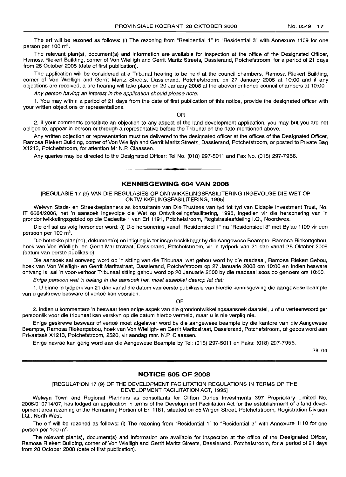The erf will be rezoned as follows: (i) The rezoning from "Residential 1" to "Residential 3" with Annexure 1109 for one person per 100 m<sup>2</sup>.

The relevant plan(s), document(s) and information are available for inspection at the office of the Designated Officer, Rarnosa Riekert Building, corner of Von Wielligh and Gerrit Maritz Streets, Dassierand, Potchefstroom, for a period of 21 days from 28 October 2008 (date of first publication).

The application will be considered at a Tribunal hearing to be held at the council chambers, Ramosa Riekert Building, corner of Von Wielligh and Gerrit Maritz Streets, Dassierand, Potchefstroom, on 27 January 2008 at 10:00 and if any objections are received, a pre-hearing will take place on 20 January 2008 at the abovementioned council chambers at 10:00.

Any person having an interest in the application should please note:

1. You may within a period of 21 days from the date of first publication of this notice, provide the designated officer with your written objections or representations.

OR

2. if your comments constitute an objection to any aspect of the land development application, you may but you are not obliged to, appear in person or through a representative before the Tribunal on the date mentioned above.

Any written objection or representation must be delivered to the designated officer at the offices of the Designated Officer, Rarnosa Riekert Building, corner of Von Wielligh and Gerrit Maritz Streets, Dassierand, Potchefstroom, or posted to Private Bag X1213, Potchefstroom, for attention Mr N.P. Claassen.

Any queries may be directed to the Designated Officer: Tel No. (018) 297-5011 and Fax No. (018) 297-7956. .**- .**

#### **KENNISGEWING 604 VAN 2008**

[REGULASIE 17 (9) VAN DIE REGULASIES OP ONTWIKKELlNGSFASILITERING INGEVOLGE DIE WET OP ONTWIKKELlNGSFASILITERING, 1995]

Welwyn Stads- en Streekbeplanners as konsultante van Die Trustees van tyd tot tyd van Eldapie Investment Trust, No. IT 6664/2006, het 'n aansoek ingevolge die Wet op Ontwikkelingsfasilitering, 1995, ingedien vir die hersonering van 'n grondontwikkelingsgebied op die Gedeelte 1 van Erf 1191, Potchefstroom, Registrasieafdeling I.Q., Noordwes.

Die erf sal as volg hersoneer word: (i) Die hersonering vanaf "Residensieel 1" na "Residensieel 3" met Bylae 1109 vir een persoon per 100 m $^2$ .

Die betrokke plan(ne), dokument(e) en inligting is ter insae beskikbaar by die Aangewese Beampte, Ramosa Riekertgebou, hoek van Von Wielligh- en Gerrit Maritzstraat, Dassierand, Potchefstroom, vir 'n tydperk van 21 dae vanaf 28 Oktober 2008 (datum van eerste publikasie).

Die aansoek sal oorweeg word op 'n sitting van die Tribunaal wat gehou word by die raadsaal, Ramosa Riekert Gebou, hoek van Von Wielligh- en Gerrit Maritzstraat, Dassierand, Potchefstroom op 27 Januarie 2008 om 10:00 en indien besware ontvang is, sal 'n voor-verhoor Tribunaal sitting gehou word op :20 Januarie 2008 by die raadsaal soos bo genoem om 10:00.

Enige persoon wat 'n belang in die aansoek bet, moet esseoliet daarop let dat:

1. U binne 'n tydperk van 21 dae vanaf die datum van eerste publikasie van hierdie kennisgewing die aangewese beampte van u geskrewe besware of vertoë kan voorsien.

OF

2. indien u kommentare 'n beswaar teen enige aspek van die grondontwikkelingsaansoek daarstel, u of u verteenwoordiger persoonlik voor die tribunaal kan verskyn op die datum hierbo vermeld, maar u is nie verplig nie.

Enige geskrewe beswaar of vertoe moet afgelewer word by die aangewese beampte by die kantore van die Aangewese Beampte, Ramosa Riekertgebou, hoek van Von Wielligh- en Gerrit Maritzstraat, Dassierand, Potchefstroom, of gepos word aan Privaatsak X1213, Potchefstroom, 2520, vir aandag mnr. N.P. Claassen.

Enige navrae kan gerig word aan die Aangewese Beampte by Tel: (018) 297-5011 en Faks: (018) 297-7956.

28-04

#### **NOTICE 605 OF 2008**

#### [REGULATION 17 (9) OF THE DEVELOPMENT FACILITATION REGULATIONS IN TERMS OF THE DEVELOPMENT FACILITATION ACT, 1995]

Welwyn Town and Regional Planners as consultants for Clifton Dunes Investments 397 Proprietary Limited No. 200E,/010714/07, has lodged an application in terms of the Development Facilitation Act for the establishment of a land development area rezoning of the Remaining Portion of Erf 1181, situated on 55 Wilgen Street, Potchefstroom, Registration Division I.Q., North West.

The erf will be rezoned as follows: (i) The rezoning from ''Residential 1" to "Residential 3" with Annexure 1110 for one person per 100 m<sup>2</sup>.

The relevant plan(s), document(s) and information are available for inspection at the office of the Designated Officer, Rarnosa Riekert Building, corner of Von Wielligh and Gerrit Maritz Streets, Dassierand, Potchefstroom, for a period of 21 days from 28 October 2008 (date of first publication).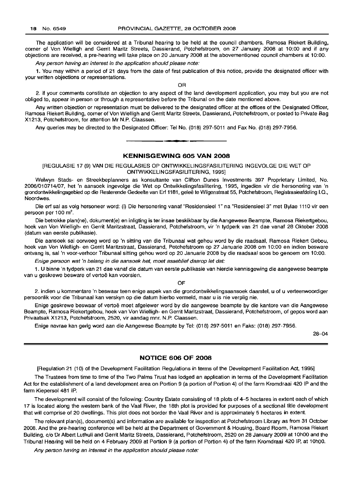The application will be considered at a Tribunal hearing to be held at the council chambers, Ramosa Riekert Building, corner of Von Wielligh and Gerrit Maritz Streets, Dassierand, Potchefstroom, on 27 January 2008 at 10:00 and if any objections are received, a pre-hearing will take place on 20 January 2008 at the abovementioned council chambers at 10:00.

Any person having an interest in the application should please note:

1. You may within a period of 21 days from the date of first publication of this notice, provide the designated officer with your written objections or representations.

OR

2. if your comments constitute an objection to any aspect of the land development application, you may but you are not obliged to, appear in person or through a representative before the Tribunal on the date mentioned above.

Any written objection or representation must be delivered to the designated officer at the offices of the Designated Officer, Ramosa Riekert Building, corner of Von Wielligh and Gerrit Maritz Streets, Dassierand, Potchefstroom, or posted to Private Bag X1213, Potchefstroom, for attention Mr N.P. Claassen.

Any queries may be directed to the Designated Officer: Tel No. (018) 297-5011 and Fax No. (018) 297-7956.

**•**

#### **KENNISGEWING 605 VAN 2008**

[REGULASIE 17 (9) VAN DIE REGULASIES OP ONTWIKKELlNGSFASILITERING INGEVOLGE DIE WET OP ONTWIKKELlNGSFASILITERING, 1995]

Welwyn Stads- en Streekbeplanners as konsultante van Clifton Dunes Investments 397 Proprietary Limited, No. 2006/010714/07, het 'n aansoek ingevolge die Wet op Ontwikkelingsfasilitering, 1995, ingedien vir die hersonering van 'n grondontwikkelingsgebied op die Resterende Gedeelte van Erf 1181, geleë te Wilgenstraat 55, Potchefstroom, Registrasieafdeling I.Q., Noordwes.

Die erf sal as volg hersoneer word: (i) Die hersonering vanaf "Residensieel 1" na "Residensieel 3" met Bylae 1110 vir een persoon per 100 m<sup>2</sup>.

Die betrokke plan(ne), dokument(e) en inligting is ter insae beskikbaar by die Aangewese Beampte, Ramosa Riekertgebou, hoek van Von Wielligh- en Gerrit Maritzstraat, Dassierand, Potchefstroom, vir 'n tydperk van 21 dae vanaf 28 Oktober 2008 (datum van eerste publikasie).

Die aansoek sal oorweeg word op 'n sitting van die Tribunaal wat gehou word by die raadsaal, Ramosa Riekert Gebou, hoek van Von Wielligh- en Gerrit Maritzstraat, Dassierand, Potchefstroom op 27 Januarie 2008 om 10:00 en indien besware ontvang is, sal 'n voor-verhoor Tribunaal sitting gehou word op 20 Januarie 2008 by die raadsaal soos bo genoem om 10:00.

Enige persoon wat 'n belang in die aansoek het, moet asseblief daarop let dat:

1. U binne 'n tydperk van 21 dae vanaf die datum van eerste publikasie van hierdie kennisgewing die aangewese beampte van u geskrewe besware of vertoë kan voorsien.

OF

2. indien u kommentare 'n beswaar teen enige aspek van die grondontwikkelingsaansoek daarstel, u of u verteenwoordiger persoonlik voor die Tribunaal kan verskyn op die datum hierbo vermeld, maar u is nie verplig nie.

Enige geskrewe beswaar of vertoë moet afgelewer word by die aangewese beampte by die kantore van die Aangewese Beampte, Ramosa Riekertgebou, hoek van Von Wielligh- en Gerrit Maritzstraat, Dassierand, Potchefstroom, of gepos word aan Privaatsak X1213, Potchefstroom, 2520, vir aandag mnr. N.P. Claassen.

Enige navrae kan gerig word aan die Aangewese Beampte by Tel: (018) 297-5011 en Faks: (018) 297-7956.

28-04

#### **NOTICE 606 OF 2008**

[Regulation 21 (10) of the Development Facilitation Regulations in terms of the Development Facilitation Act, 1995]

The Trustees from time to time of the Two Palms Trust has lodged an application in terms of the Development Facilitation Act for the establishment of a land development area on Portion 9 (a portion of Portion 4) of the farm Kromdraai 420 IP and the farm Kiepersol 481 IP.

The development will consist of the following: Country Estate consisting of 18 plots of 4-5 hectares in extent each of which 17 is located along the western bank of the Vaal River, the 18th plot is provided for purposes of a sectional title development that will comprise of 20 dwellings. This plot does not border the Vaal River and is approximately 5 hectares in extent.

The relevant plan(s), document(s) and information are available for inspection at Potchefstroom Library as from 31 October 2008. And the pre-hearing conference will be held at the Department of Government & Housing, Board Room, Ramosa Riekert Building, c/o Dr Albert Luthuli and Gerrit Maritz Streets, Dassierand, Potchefstroom, 2520 on 28 January 2009 at 1OhOO and the Tribunal Hearing will be held on 4 February 2009 at Portion 9 (a portion of Portion 4) of the farm Kromdraai 420 IP, at 10hOO.

Any person having an interest in the application should please note: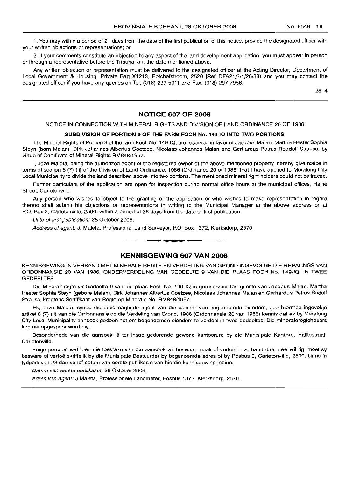1. You may within a period of 21 days from the date of the first publication of this notice, provide the designated officer with your written objections or representations; or

2. If your comments constitute an objection to any aspect of the land development application, you must appear in person or through a representative before the Tribunal on, the date mentioned above.

Any written objection or representation must be delivered to the designated officer at the Acting Director, Department of Local Government & Housing, Private Bag X1213, Potchefstroom, 2520 [Ref: DFA21/3/1/26/38) and you may contact the designated officer if you have any queries on Tel: (018) 297-5011 and Fax: (018) 297-7956.

28-4

#### **NOTICE 607 OF 2008**

NOTICE IN CONNECTION WITH MINERAL RIGHTS AND DIVISION OF LAND ORDINANCE 20 OF 1986

#### **SUBDIVISION OF POR1"ION 9 OF "rHE FARM FOCH No. 149-10 INTO TWO PORTIONS**

The Mineral Rights of Portion 9 of the farm Foch No. 149-10, are reserved in favor of Jacobus Malan, Martha Hester Sophia Steyn (born Malan), Dirk Johannes Albertus Coetzee, Nicolaas Johannes Malan and Gerhardus Petrus Roedolf Strauss, by virtue of Certificate of Mineral Rights RM848/1957.

I, Joze Maleta, being the authorized agent of the registered owner of the above-mentioned property, hereby give notice in terms of section 6 (7) (ii) of the Division of Land Ordinance, 1986 (Ordinance 20 of 1986) that I have applied to Merafong City Local Municipality to divide the land described above into two portions. The mentioned mineral right holders could not be traced.

Further particulars of the application are open for inspection during normal office hours at the municipal offices, Halite Street, Carletonville.

Any person who wishes to object to the granting of the application or who wishes to make representation in regard thereto shall submit his objections or representations in writing to the Municipal Manager at the above address or at P.O. Box 3, Carletonville, 2500, within a period of 28 days from the date of first publication.

Date of first publication: 28 October 2008.

Address of agent: J. Maleta, Professional Land Surveyor, P.O. Box 1372, Klerksdorp, 2570. .**- .**

#### **KENNISGEWING 607 VAN 2008**

KENINISGEWING IN VERBANO MET MINERALE REGTE EN VERDELING VAN GROND INGEVOLGE DIE BEPALINGS VAN ORDONNANSIE 20 VAN 1986, ONDERVERDELING VAN GEDEELTE 9 VAN DIE PLAAS FOCH No. 149-10, IN TWEE GEDEELTES

Die Mineraleregte vir Gedeelte 9 van die plaas Foch No. 149 10 is gereserveer ten gunste van Jacobus Malan, Martha Hester Sophia Steyn (gebore Malan), Dirk Johannes Albertus Coetzee, Nicolaas Johannes Malan en Gerhardus Petrus Rudolf Strauss, kragtens Sertifikaat van Regte op Minerale No. RM848(1957.

Ek, Joze Maleta, synde die gevolmagtigde agent van die eienaar van bogenoemde eiendom, gee hiermee ingevolge artikel 6 (7) (ii) van die Ordonnansie op die Verdeling van Grond, 1986 (Ordonnansie 20 van 1986) kennis dat ek by Merafong City Local Municipality aansoek gedoen het om bogenoemde eiendom te verdeel in twee gedeeltes. Die mineraleregtehouers kon nie opgespoor word nie.

Besonderhede van die aansoek lê ter insae gedurende gewone kantoorure by die Munisipale Kantore, Halitestraat, Oarletonville.

Enige persoon wat teen die toestaan van die aansoek wil beswaar maak of vertoë in verband daarmee wil rig, moet sy besware of vertoe skriftelik by die Munisipale Bestuurder by boqenoernde adres of by Posbus 3, Carletonville, 2500, binne 'n tydperk van 28 dae vanaf datum van eerste publikasie van hierdie kennisgewing indien.

Datum van eerste publikasie: 28 Oktober 2008.

Adres van agent: J Maleta, Professionele Landmeter, Posbus 1372, Klerksdorp, 2570.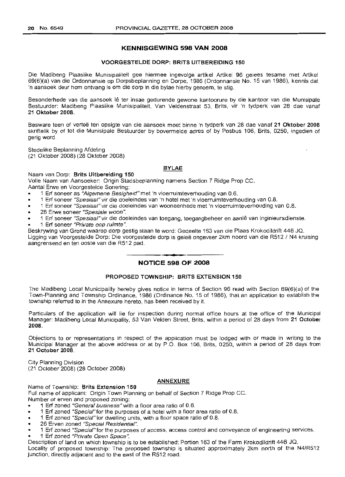#### **KENNISGEWING 598 VAN 2008**

#### VOORGESTELDE DORP: BRITS UITBEREIDING 150

Die Madibeng Plaaslike Munisipaliteit gee hiermee ingevolge artikel Artikel 96 gelees tesame met Artikel 69(6)(a) van die Ordonnansie op Dorpsbeplanning en Dorpe, 1986 (Ordonnansie No. 15 van 1986), kennis dat 'n aansoek deur hom ontvang is om die dorp in die bylae hierby genoem, te stig.

Besonderhede van die aansoek lê ter insae gedurende gewone kantoorure by die kantoor van die Munisipale Bestuurder: Madibeng Plaaslike Munisipaliteit, Van Veldenstraat 53, Brits, vir 'n tydperk van 28 dae vanaf 21 Oktober 2008.

Besware teen of vertoë ten opsigte van die aansoek moet binne 'n tydperk van 28 dae vanaf 21 Oktober 2008 skriftelik by of tot die Munisipale Bestuurder by bovermelde adres of by Posbus 106, Brits, 0250, ingedien of gerig word.

Stedelike Beplanning Afdeling (21 Oktober 2008) (28 Oktober 2008)

#### BYLAE

Naam van Dorp: Brits Uitbereiding 150

Volle Naam van Aansoeker: Origin Stadsbeplanning namens Section 7 Ridge Prop CC. Aantal Erwe en Voorgestelde Sonering:

- 1 Erf soneer as "Algemene Besigheid" met 'n vloerruimteverhouding van 0.6.
- 1 Erf soneer "Spesiaal" vir die doeleindes van 'n hotel met 'n vloerruimteverhouding van 0.8.
- 1 Erf soneer "Spesiaal" vir die doeleindes van wooneenhede met 'n vloerruimteverhouding van 0.8.
- 26 Erwe soneer "Spesiale woon".
- 1 Erf soneer "Spesiaal" vir die doeleindes van toegang, toegangbeheer en aanle van inginieursdienste.
- 1 Erf soneer "Private oop ruimte ".

Beskrywing van Grand waarop dorp gestig staan te word: Gedeelte 163 van die Plaas Krokodildrift 446 JO. Ligging van Voorgestelde Dorp: Die voorgestelde dorp is gelee ongeveer 2km noord van die R512 / N4 kruising aangrensend en ten ooste van die R512 pad.

<sup>I</sup> **•• NOTICE 598 OF 2008**

#### PROPOSED TOWNSHIP: BRITS EXTENSION 150

The Madibeng Local Municipality hereby gives notice in terms of Section 96 read with Section 69(6)(a) of the Town-Planning and Township Ordinance, 1986 (Ordinance No. 15 of 1986), that an application to establish the township referred to in the Annexure hereto, has been received by it.

Particulars of the application will lie for inspection during normal office hours at the office of the Municipal Manager: Madibeng Local Municipality, 53 Van Velden Street, Brits, within a period of 28 days from 21 October 2008.

Objections to or representations in respect of the application must be lodged with or made in writing to the 'Municipal Manager at the above address or at by P.O. Box 106, Brits, 0250, within a period of 28 days from 21 October 2008.

City Planning Division (21 October 2008) (28 October 2008)

#### ANNEXURE

Name of Township: Brits Extension 150

Full name of applicant: Origin Town Planning on behalf of Section 7 Ridge Prop CC.

Number or erven and proposed zoning:

- 1 Erf zoned "General business"with a floor area ratio of 0.6.
- 1 Erf zoned "Specia/"for the purposes of a hotel with a floor area ratio of 0.8.
- 1 Erf zoned "Special"for dwelling units, with a floor space ratio of 0.8.
- 26 Erven zoned "Special Residential".
- 1 Erf zoned "Special" for the purposes of access, access control and conveyance of engineering services.
- 1 Erf zoned "Private Open Space".

Description of land on which township is to be established: Portion 163 of the Farm Krokodildrift 446 JO. Locality of proposed township: The proposed township is situated approximately 2km north of the N4/R512 junction, directly adjacent and to the east of the R512 road.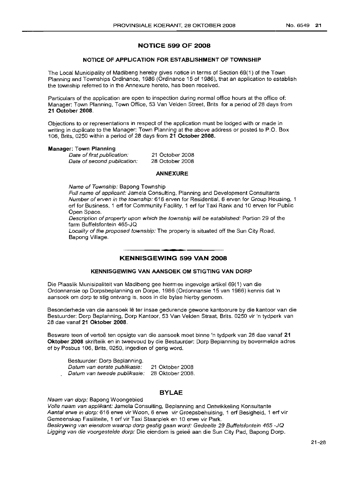#### **NOTICE 599 OF 2008**

#### **NOTICE OF APPLICATION FOR ESTABLISHMENT OF TOWNSHIP**

The Local Municipality of Madibeng hereby gives notice in terms of Section 69(1) of the Town Planning and Townships Ordinance, 1986 (Ordinance 15 of 1986), that an application to establish the township referred to in the Annexure hereto, has been received.

Particulars of the application are open to inspection during normal office hours at the office of: Manager: Town Planning, Town Office, 53 Van Velden Street, Brits for a period of 28 days from **21 October 2008.**

Objections to or representations in respect of the application must be lodged with or made in writing in duplicate to the Manager: Town Planning at the above address or posted to P.O. Box 106, Brits, 0250 within a period of 28 days from **21 October 2008.**

#### **Manager: Town Planning**

Date of first publication: Date of second publication:

21 October 2008 28 October 2008

#### **ANNEXURE**

Name of Township: Bapong Township

Full name of applicant: Jamela Consulting, Planning and Development Consultants Number of erven in the township: 616 erven for Residential, 6 erven for Group Housing, 1 erf for Business, 1 erf for Community Facility, 1 erf for Taxi Rank and 10 erven for Public Open Space.

Description of property upon which the township will be established: Portion 29 of the farm Buffelsfontein 465-JQ

Locality of the proposed township: The property is situated off the Sun City Road, Bapong Village.

#### **- - KENNISGEWING <sup>599</sup> VAN <sup>2008</sup>**

#### **KENNISGEWING VAN AANSOEK OM STIGTING VAN DORP**

Die Plaaslik Munisipaliteit van Madibeng gee hiermee ingevolge artikel 69(1) van die Ordonnansie op Dorpsbeplanning en Dorpe, 1986 (Ordonnansie 15 van 1986) kennis dat 'n aansoek om dorp te stig ontvang is, soos in die bylae hierby genoem.

Besonderhede van die aansoek Ie ter insae gedurende gewone kantoorure by die kantoor van die Bestuurder: Dorp Beplanninq, Dorp Kantoor, 53 Van Velden Straat, Brits. 0250 vir 'n tydperk van 28 dae vanaf **21 Oktober 2008.**

Besware teen of vertoe ten opsigte van die aansoek moet binne 'n tydperk van 28 dae vanaf **21 Oktober 2008** skriftelik en in tweevoud by die Bestuurder: Dorp Beplanning by bovermelde adres of by Posbus 106, Brits, 0250, ingedien of gerig word.

| Bestuurder: Dorp Beplanning.                  |                 |
|-----------------------------------------------|-----------------|
| Datum van eerste publikasie:                  | 21 Oktober 2008 |
| Datum van tweede publikasie: 28 Oktober 2008. |                 |

#### **BYLAE**

Naam van dorp: Bapong Woongebied

Volle naam van applikant: Jamela Consulting, Beplanning and Ontwikkeling Konsultante Aantal erwe in dorp: 616 erwe vir Woon, 6 erwe vir Groepsbehuising, 1 erf Besigheid, 1 erf vir Gemeenskap Fasiliteite, 1 erf vir Taxi Staanplek en 10 erwe vir Park.

Beskrywing van eiendom waarop dorp gestig gaan word: Gedeelte 29 Buffelsfontein 465 -JQ Ligging van die voorgestelde dorp: Die eiendom is geleë aan die Sun City Pad, Bapong Dorp.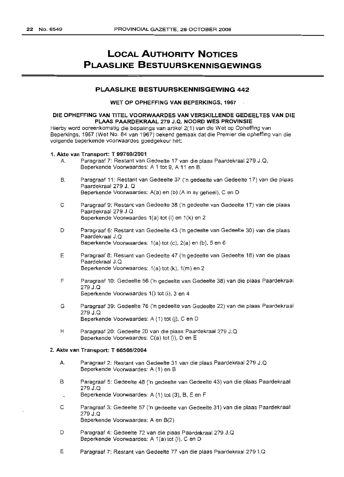## **LOCAL AUTHORITY NOTICES PLAASLIKE BESTUURSKENNISGEWINGS**

#### **PLAASLIKE BESTUURSKENNISGEWING 442**

#### WET OP OPHEFFING VAN BEPERKINGS, 1967

#### DIE OPHEFFING VAN TITEL VOORWAAROES VAN VERSKILLENOE GEOEELTES VAN DIE PLAAS PAAROEKRAAL 279 J.Q. NDORO WES PROVINSIE

Hierby word ooreenkomstig die bepalings van artikel 2(1) van die Wet op Opheffing van Beperkings, 1967 (Wet No. 84 van 1967) bekend gemaak dat die Premier die opheffing van die volgende beperkende voorwaardes goedgekeur het:

#### 1. Akte van Transport: T *99769/2001*

- A. Paragraaf 7: Restant van Gedeelte 17 van die plaas Paardekraal 279 J. Q, Beperkende Voorwaardes: A 1 tot 9, A 11 en B.
- B. Paragraaf 11: Restant van Gedeelte 37 ('n gedeelte van Gedeelte 17) van die plaas Paardekraal 279 J. Q Beperkende Voorwaardes: A(a) en (b) (A in sy geheel), C en D
- C Paragraaf 9: Restant van Gedeelte 38 ('n gedeelte van Gedeelte 17) van die plaas Paardekraal 279 J.Q Beperkende Voorwaardes 1(a) tot (I) en 1(k) en 2
- D Paragraaf 6: Restant van Gedeelte 43 ('n gedeelte van Gedeelte 30) van die plaas Paardekraal J.Q Beperkende Voorwaardes: 1(a) tot (e), 2(a) en (b), 5 en 6
- E Paragraaf 8: Restant van Gedeelte 47 ('n gedeelte van Gedeelte 18) van die plaas Paardekraal J.Q Beperkende Voorwaardes: 1(a) tot (k), 1(m) en 2
- F Paragraaf 10: Gedeelte 56 ('n gedeelte van Gedeelte 38) van die plaas Paardekraal 279 J.Q Beperkende Voorwaardes 1() tot (i), 3 en 4
- G Paragraaf 39: Gedeelte 76 ('n gedeelte van Gedeelte 22) van die plaas Paardekraal 279 J.Q Beperkende Voorwaardes: A (1) tot (j), C en D
- H Paragraaf 20: Gedeelte 20 van die plaas Paardekraal 279 J.Q Beperkende Voorwaardes: C(a) tot (i), Den E

#### 2. Akte van Transport: T *66566/2004*

- A. Paragraaf 2: Restant van Gedeelte 31 van die plaas Paardekraal 279 J.Q Beperkende Voorwaardes: A (1) en B
- B Paragraaf 5: Gedeelte 48 ('n gedeelte van Gedeelte 43) van die plaas Paardekraal 279 J.Q
- Beperkende Voorwaardes: A (1) tot (3), B, E en F
- C Paragraaf 3: Gedeelte 57 ('n gedeelte van Gedeelte 31) van die plaas Paardekraal 279 J.Q Beperkende Voorwaardes: A en B(2)
- D Paragraaf 4: Gedeelte 72 van die plaas Paardekraal 279 J.O Beperkende Voorwaardes: A 1(a) tot (i), C en D
- E Paragraaf 7: Restant van Gedeelte 77 van die plaas Paardekraal 279 1.0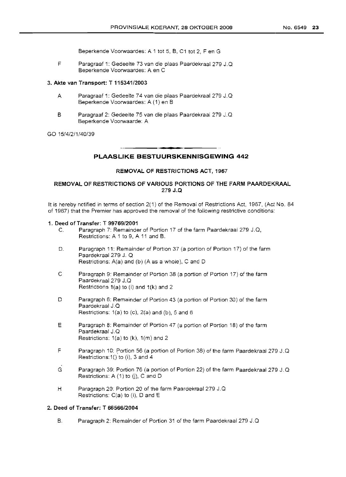Beperkende Voorwaardes: A 1 tot 5, B, C1 tot 2, Fen G

F Paragraaf 1: Gedeelte 73 van die plaas Paardekraal 279 J.O Beperkende Voorwaardes: A en C

#### 3. Akte van Transport: T *115341/2003*

- A Paragraaf 1: Gedeelte 74 van die plaas Paardekraal 279 J.Q Beperkende Voorwaardes: A (1) en B
- B Paragraaf 2: Gedeelte 75 van die plaas Paardekraal 279 J.O Beperkende Voorwaarde: A

GO 15/4/2/1/40/39

.**--** PLAASLIKE BESTUURSKENNISGEWING <sup>442</sup>

#### REMOVAL OF RESTRICTIONS ACT, 1967

#### REMOVAL OF RESTRICTIONS OF VARIOUS PORTIONS OF THE FARM PAARDEKRAAL 279 J.Q

It is hereby notified in terms of section 2(1) of the Removal of Restrictions Act, 1967, (Act No. 84 of 1967) that the Premier has approved the removal of the following restrictive conditions:

#### 1. Deed of Transfer: T *99769/2001*

- C. Paragraph 7: Remainder of Portion 17 of the farm Paardekraal 279 J .0, Restrictions: A 1 to 9, A 11 and B.
- D. Paragraph 11: Remainder of Portion 37 (a portion of Portion 17) of the farm Paardekraal 279 J. 0 Restrictions: A(a) and (b) (A as a whole), C and D
- C Paragraph 9: Remainder of Portion 38 (a portion of Portion 17) of the farm Paardekraal 279 J.O Restrictions  $1(a)$  to (i) and  $1(k)$  and 2
- D Paragraph 6: Remainder of Portion 43 (a portion of Portion 30) of the farm Paardekraal J.Q Restrictions:  $1(a)$  to (c),  $2(a)$  and (b),  $5$  and  $6$
- E Paragraph 8: Remainder of Portion 47 (a portion of Portion 18) of the farm Paardekraal J.0 Restrictions: 1(a) to (k), 1(m) and 2
- F Paragraph 10: portion 56 (a portion of Portion 38) of the farm Paardekraal 279 J.Q Restrictions:  $1()$  to (i), 3 and 4
- G Paragraph 39: Portion 76 (a portion of Portion 22) of the farm Paardekraal 279 J.Q Restrictions: A  $(1)$  to  $(i)$ , C and D
- H Paragraph 20: Portion 20 of the farm Paardekraal 279 J.Q Restrictions: C(a) to (i), D and E

#### 2. Deed of Transfer: T *66566/2004*

B. Paragraph 2: Remainder of Portion 31 of the farm Paardekraal 279 J.O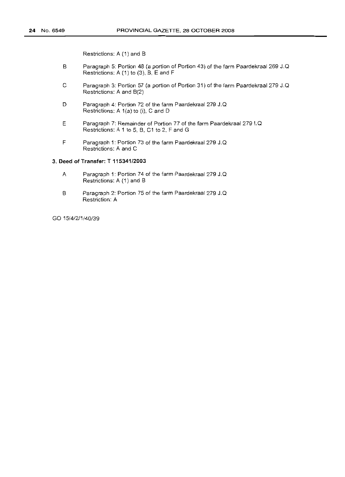Restrictions: A (1) and B

- B Paragraph 5: Portion 48 (a portion of Portion 43) of the farm Paardekraal 269 J.Q Restrictions: A (1) to (3), B, E and F
- C Paragraph 3: Portion 57 (a portion of Portion 31) of the farm Paardekraal 279 J. Q Restrictions: A and B(2)
- D Paragraph 4: Portion 72 of the farm Paardekraal 279 J.Q Restrictions: A 1(a) to (i), C and D
- E Paragraph 7: Remainder of Portion 77 of the farm Paardekraal 279 I.Q Restrictions: A 1 to 5, B, C1 to 2, F and G
- F Paragraph 1: Portion 73 of the farm Paardekraal 279 J. Q Restrictions: A and C

#### 3. Deed of Transfer: T 115341/2003

- A Paragraph 1: Portion 74 of the farm Paardekraal 279 J.Q Restrictions: A (1) and B
- B Paragraph 2: Portion 75 of the farm Paardekraal 279 J.Q Restriction: A

GO 15/4/2/1/40/39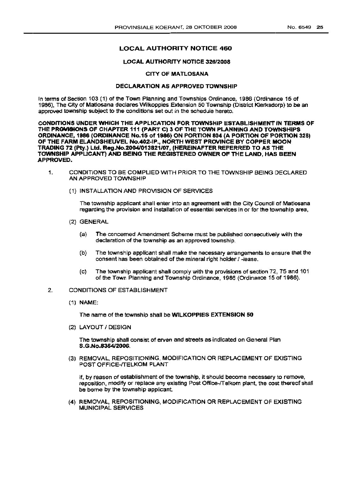#### LOCAL AUTHORITY NOTICE 460

#### LOCAL AUTHORITY NOTICE 326/2008

#### CITY OF MATLOSANA

#### DECLARATION AS APPROVED TOWNSHIP

In terms of Section 103 (1) of the Town Planning and Townships Ordinance. 1986 (Ordinance 15 of 1986), The City of Matlosana declares Wilkoppies Extension 50 Township (District Klerksdorp) to be an approved township subject to the conditions set out in the schedule hereto.

CONDITIONS UNDER WHICH THE APPLICATION FOR TOWNSHIP ESTABLISHMENT IN TERMS OF THE PROVISIONS OF CHAPTER 111 (PART C) 3 OF THE TOWN PLANNING AND TOWNSHIPS ORDINANCE, 1986 (ORDINANCE No.15 of 1986) ON PORTION 804 (A PORTION OF PORTION 328) OF THE FARM ELANDSHEUVEL No.402-IP., NORTH WEST PROVINCE BY COPPER MOON TRADING 72 (Ply.) Ltd. Reg.No.2004l013821/07, (HEREINAFTER REFERRED TO AS THE TOWNSHIP APPLICANT) AND BEING THE REGISTERED OWNER OF THE LAND, HAS BEEN APPROVED.

- 1. CONDITIONS TO BE COMPLIED WITH PRIOR TO THE TOWNSHIP BEING DECLARED AN APPROVED TOWNSHIP
	- (1) INSTALLATION AND PROVISION OF SERVICES

The township applicant shall enter into an agreement with the City Council of Matlosana regarding the provision and installation of essential services in or for the township area,

- (2) GENERAL
	- (a) The concerned Amendment Scheme must be published consecutively with the declaration of the township as an approved township.
	- (b) The township applicant shall make the necessary arrangements 10 ensure that the consent has been obtained of the mineral right holder / -lease.
	- (c) The township applicant shall comply with the provisions of section 72:, 75 and 101 of the Town Planning and Township Ordinance, 1986 (Ordinance 15 af 1986).

#### 2. CONDITIONS OF ESTABLISHMENT

(1) NAME:

The name of the township shall be WlLKOPPIES EXTENSION 50

(2) LAYOUT I DESIGN

The township shall consist of erven and streets as indicated on General Plan S.G.No.835412006.

(3) REMOVAL, REPOSITIONING, MODIFICATION OR REPLACEMENT OF EXISTING POST OFFICE-TTELKOM PLANT

If, by reason of establishment of the township, it should become necessary to remove, reposition, modify or replace any existing Post Offioe-fTelkom plant. the cost thereof shall be borne by the township applicant

(4) REMOVAL, REPOSITIONING, MODIFICATION OR REPLACEMENT OF EXISTING MUNICIPAL SERVICES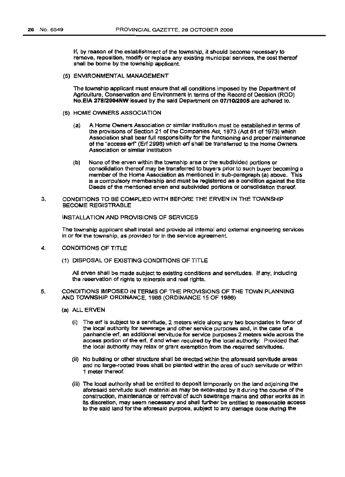If, by reason of the establishment of the township, it should become necessary to remove, reposition, modify or replace any existing municipal services, the cost thereof shall be borne by the township applicant.

(5) ENVIRONMENTAL MANAGEMENT

The township applicant must ensure that all conditions imposed by the Department of Agriculture, Conservation and Environment in tenns of the Record of Decision (ROD) NO.EIA 278f2004NW issued by the said Department on 07/1012005 are adhered to.

- (6) HOME OWNERS ASSOCIATION
	- (a) A Home OWners Association or similar institution must be established in terms of the provisions of Section 21 of the Companies Act, 1973 (Act 61 of 1973) which Association shall bear full responsibility for the functioning and proper maintenance of the "access ert" (Eri 299B) which ert shall be transferred to the Home Owners Association or similar institution
	- (b) None of the erven within the township area or the subdivided portions or consolidation thereof may be transferred to buyers prior to such buyer becoming a member of the Home Association as mentioned in sub-paragraph (a) above. This is a compulsory membership and must be registered as a condition against the tltle Deeds of the mentioned erven and subdivided portions or consolidation thereof.
- 3. CONDITIONS TO BE COMPLIED WITH BEFORE THE ERVEN IN THE TOWNSHIP BECOME REGISTRABLE

INSTALLATION AND PROVISIONS OF SERVICES

The township applicant shall install and provide all Internal and external engineering services in or for the township, as provided for in the service agreement.

- 4. CONDITIONS OF TITLE
	- (1) DISPOSAL OF EXISTING CONDITIONS OF TITLE

All erven shall be made subject to existing conditions and servitudes. If any, including the reservation of rights to minerals and real rights.

- 5. CONDITIONS IMPOSED IN TERMS OF THE PROVISIONS OF THE TOWN PLANNING AND TOWNSHIP ORDINANCE, 1986 (ORDINANCE 15 OF 1986)
	- (a) ALL ERVEN
		- (i) The erf is subject to a servitude, 2 meters wide along any two boundaries in favor of the local authority for sewerage and other service purposes and, in the case of a panhandle ert, an additional servitude for service purposes 2 meters wide across the access portion of the erf, if and when required by the local authority: Provided that the local authority may relax or grant exemption from the required servitudes.
		- (ii) No building or other structure shall be erected within the aforesaid servitude areas and no large-rooted trees shall be planted within the area of such servitude or within 1 meter thereof.
		- (iii) The local authority shall be entitled to deposit temporarily on the land adjoining the aforesaid servitude such material as may be excavated by it during the course afthe construction, maintenance or removal of such sewerage mainsandother worksas in its discretion, may seem necessary and shall further be entitled to reasonable access to the said land for the aforesaid purpose, SUbject to any damage done during the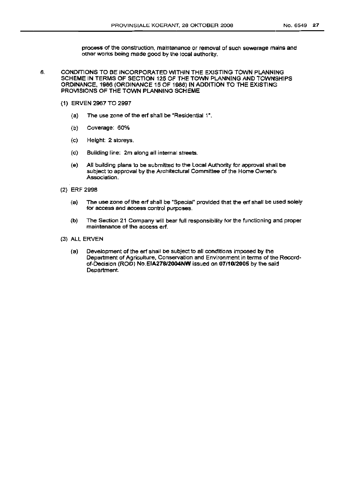process of the construction. maintenance or removal of such sewerage mains and other works being made good by the focal authority.

- 6. CONDITIONS TO BE INCORPORATED WITHIN THE EXISTING TOWN PLANNING SCHEME IN TERMS OF SECTION 125 OF THE TOWN PLANNING AND TOWNSHIPS ORDINANCE, 1986 (ORDINANCE 15 OF 1986) IN ADDITION TO THE EXISTING PROVISIONS OF THE TOWN PLANNING SCHEME
	- (1) ERVEN 2967 TO 2997
		- (a) The use zone of the erf shall be "Residential 1",
		- (b) Coverage: 60%
		- (c) Height: 2 storeys.
		- (d) Building line: 2m along all internal streets.
		- (e) All building plans to be submitted to the Local Authority for approval shalll be subject to approval by the Architectural Committee of the Home Owner's Association.
	- (2) ERF 2998
		- (a) The use zone of the erf shall be "Special" provided that the ert shall be used solely for access and access control purposes.
		- (b) The Section 21 Company will bear full responsibility for the functioning and proper maintenance of the access ert.
	- (3) ALL ERVEN
		- (a) Development of the erf shall be subject to all conditions imposed by the Department of Agriculture, Conservation and Environment in terms of the Recordof-Decision (ROO) No.EIA278/2004NW issued on *07/1012005* by the said Department.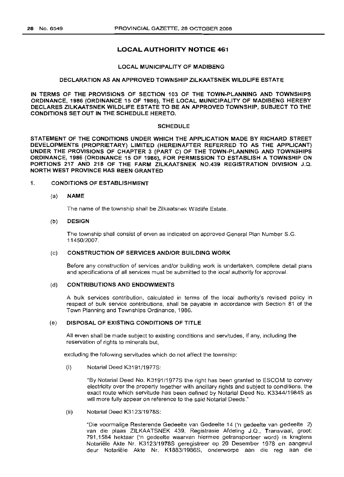#### LOCAL AUTHORITY NOTICE 461

#### LOCAL MUNICIPALITY OF MADIBENG

#### DECLARATION AS AN APPROVED TOWNSHIP ZILKAATSNEK WILDLIFE ESTATE

IN TERMS OF THE PROVISIONS OF SECTION 103 OF THE TOWN-PLANNING AND TOWNSHIPS ORDINANCE, 1986 (ORDINANCE 15 OF 1986), THE LOCAL MUNICIPALITY OF MADIBENG HEREBY DECLARES ZILKAATSNEK WILDLIFE ESTATE TO BE AN APPROVED TOWNSHIP, SUBJECT TO THE CONDITIONS SET OUT IN THE SCHEDULE HERETO.

#### **SCHEDULE**

STATEMENT OF THE CONDITIONS UNDER WHICH THE APPLICATION MADE BY RICHARD STREET DEVELOPMENTS (PROPRIETARY) LIMITED (HEREINAFTER REFERRED TO AS THE APPLICANT) UNDER THE PROVISIONS OF CHAPTER 3 (PART C) OF THE TOWN-PLANNING AND TOWNSHIPS ORDINANCE, 1986 (ORDINANCE 15 OF 1986), FOR PERMISSION TO ESTABLISH A TOWNSHIP ON PORTIONS 217 AND 218 OF THE FARM ZILKAATSNEK NO.439 REGISTRATION DIVISION J.Q. NORTH WEST PROVINCE HAS BEEN GRANTED

#### 1. CONDITIONS OF ESTABLISHMENT

#### (a) NAME

The name of the township shall be Zilkaatsnek Wildlife Estate.

#### (b) DESIGN

The township shall consist of erven as indicated on approved General Plan Number S.G. 11450/2007.

#### (c) CONSTRUCTION OF SERVICES AND/OR BUILDING WORK

Before any construction of services and/or building work is undertaken, complete detail plans and specifications of all services must be submitted to the local authority for approval.

#### (d) CONTRIBUTIONS AND ENDOWMENTS

A bulk services contribution, calculated in terms of the local authority's revised policy in respect of bulk service contributions, shall be payable in accordance with Section 81 of the Town Planning and Townships Ordinance, 1986.

#### (e) DISPOSAL OF EXISTING CONDITIONS OF TITLE

All erven shall be made subject to existing conditions and servitudes, if any, including the reservation of rights to minerals but,

excluding the following servitudes which do not affect the township:

(i) Notarial Deed K3191/1977S:

"By Notarial Deed No. K3191/1977S the right has been granted to ESCOM to convey electricity over the property together with ancillary rights and subject to conditions, the exact route which servitude has been defined by Notarial Deed No. K3344/1984S as will more fully appear on reference to the said Notarial Deeds."

(ii) Notarial Deed K3123/1978S:

"Die voormalige Resterende Gedeelte van Gedeelte 14 ('n gedeelte van gedeelte 2) van die plaas ZILKAATSNEK 439, Registrasie Afdeling J.Q., Transvaal, groot: 791,1584 hektaar ('n gedeelte waarvan hiermee getransporteer word) is kragtens Notariele Akte Nr. K3123/1978S geregistreer op 20 Desember 1978 en aangevul deur Notariele Akte Nr. K1883/1986S, onderworpe aan die reg aan die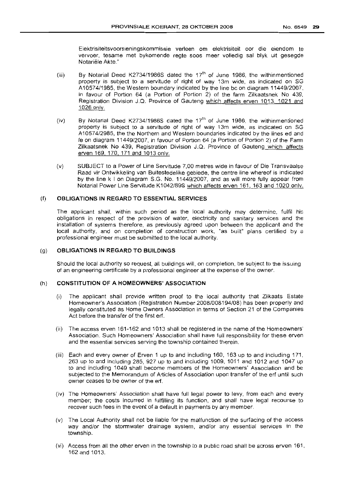Elektrisiteitsvoorsieningskommissie verleen om elektrisiteit oor die eienoorn te vervoer, tesame met bykomende regte soos meer volledig sal blyk uit gesegde Notariële Akte."

- (iii) By Notarial Deed K2734/1986S dated the 17<sup>th</sup> of June 1986, the withinmentioned property is subject to a servitude of right of way 13m wide, as indicated on SG A10574/1985, the Western boundary indicated by the line bc on diagram 11449/2007, in favour of Portion 64 (a Portion of Portion 2) of the farm Zilkaatsnek No 439, Registration Division J.Q. Province of Gauteng which affects erven 1013, 1021 and 1026 only.
- (iv) By Notarial Deed K2734/1986S dated the 17<sup>th</sup> of June 1986, the withinmentioned property is SUbject to a servitude of right of way 13m wide, as indicated on SG A10574/2985, the the Northern and Western boundaries indicated by the lines ed and fe on diagram 11449/2007, in favour of Portion 64 (a Portion of Portion 2) of the Farm Zilkaatsnek No 439, Registration Division J.Q. Province of Gauteng which affects erven 169, 170, 171 and 1013 only.
- (v) SUBJECT to a Power of Line Servitude 7,00 metres wide in favour of Die Transvaalse Raad vir Ontwikkeling van Buitestedelike gebiede, the centre line whereof is indicated by the line k I on Diagram S.G. No. 11449/2007, and as will more fully appear from Notarial Power Line Servitude K1042/89S which affects erven 161, 163 and 1020 only.

#### (f) **OBLIGATIONS IN REGARD TO ESSENTIAL SERVICES**

The applicant shall, within such period as the local authority may determine, fulfil his obligations in respect of the provision of water, electricity and sanitary services and the installation of systems therefore, as previously agreed upon between the applicant and the local authority, and on completion of construction work, "as built" plans certified by a professional engineer must be submitted to the local authority.

#### (g) **OBLIGATIONS IN REGARD TO BUILDINGS**

Should the local authority so request, all buildings will, on completion, be subject to the issuing of an engineering certificate by a professional engineer at the expense of the owner.

#### (h) **CONSTITUTION OF A HOMEOWNERS' ASSOCIATION**

- (i) The applicant shall provide written proof to the local authority that Zilkaats Estate Homeowner's Association (Registration Number 2008/008194/08) has been properly and legally constituted as Home Owners Association in terms of Section 21 of the Companies Act before the transfer of the first erf.
- (ii) The access erven 161-162 and 1013 shall be registered in the name of the Homeowners' Association. Such Homeowners' Association shall have full responsibility for these erven and the essential services serving the township contained therein.
- (iii) Each and every owner of Erven 1 up to and including 160, 163 up to and including 171, 263 up to and including 285, 927 up to and including 1009, 1011 and 1012 and 1047 up to and including 1049 shall become members of the Homeowners' Association and be subjected to the Memorandum of Articles of Association upon transfer of the erf until such owner ceases to be owner of the erf.
- (iv) The Homeowners' Association shall have full legal power to levy, from each and every member; the costs incurred in fulfilling its function, and shall have legal recourse to recover such fees in the event of a default in payments by any member.
- (v) The Local Authority shall not be liable for the malfunction of the surfacing of the access way and/or the stormwater drainage system, and/or any essential services in the township.
- (vi) Access from all the other erven in the township to a public road shall be across erven 161, 162 and 1013.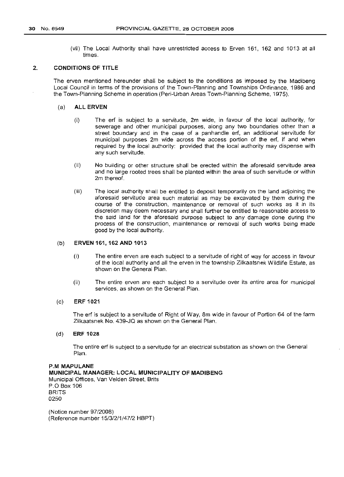(vii) The Local Authority shall have unrestricted access to Erven 161, 162 and 1013 at all times.

#### 2. CONDITIONS OF TITLE

The erven mentioned hereunder shall be subject to the conditions as imposed by the Madibeng Local Council in terms of the provisions of the Town-Planning and Townships Ordinance, 1986 and the Town-Planning Scheme in operation (Peri-Urban Areas Town-Planning Scheme, 1975).

#### (a) ALL ERVEN

- (i) The erf is subject to a servitude, 2m wide, in favour of the local authority, for sewerage and other municipal purposes, along any two boundaries other than a street boundary and in the case of a panhandle erf, an additional servitude for municipal purposes 2m wide across the access portion of the erf, if and when required by the local authority: provided that the local authority may dispense with any such servitude.
- (ii) No building or other structure shall be erected within the aforesaid servitude area and no large rooted trees shall be planted within the area of such servitude or within 2m thereof.
- (iii) The local authority shall be entitled to deposit temporarily on the land adjoining the aforesaid servitude area such material as may be excavated by them during the course of the construction, maintenance or removal of such works as it in its discretion may deem necessary and shall further be entitled to reasonable access to the said land for the aforesaid purpose subject to any damage done during the process of the construction, maintenance or removal of such works being made good by the local authority.

#### (b) ERVEN 161,162 AND 1013

- (i) The entire erven are each subject to a servitude of right of way for access in favour of the local authority and all the erven in the township Zilkaatsnek Wildlife Estate, as shown on the General Plan.
- (ii) The entire erven are each subject to a servitude over its entire area for municipal services, as shown on the General Plan.

#### (c) ERF 1021

The erf is subject to a servitude of Right of Way, 8m wide in favour of Portion 64 of the farm Zilkaatsnek No. 439-JQ as shown on the General Plan.

#### (d) ERF 1028

The entire erf is SUbject to a servitude for an electrical substation as shown on the General Plan.

P.M MAPULANE MUNICIPAL MANAGER: LOCAL MUNICIPALITY OF MADIBENG Municipal Offices, Van Velden Street, Brits P.O Box 106 BRITS 0250

(Notice number 97/2008) (Reference number 15/3/2/1/47/2 HBPT)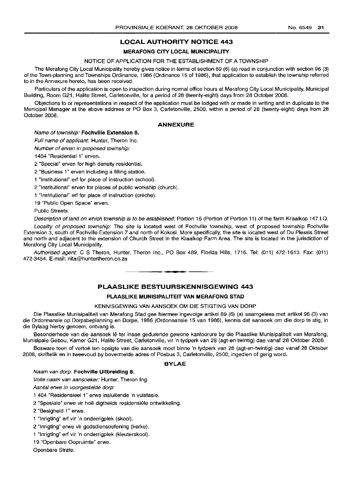## **LOCAL AUTHORITY NOTICE 443**

#### **MERAFONG CITY LOCAL MUNICIPALITY**

#### NOTICE OF APPLICATION FOR THE ESTABLISHMENT OF A TOWNSHIP

The Merafong City Local Municipality hereby gives notice in terms of section 69 (6) (a) read in conjunction with section 96 (3) of the Town-planning and Townships Ordinance, 1986 (Ordinance 15 of 1986), that application to establish the township referred to in the Annexure hereto, has been received.

Particulars of the application is open to inspection during normal office hours at Merafong City Local Municipality, Municipal Building, Room G21, Halite Street, Carletonville, for a period of 28 (twenty-eight) days from 28 October 2008.

Objections to or representations in respect of the application must be lodged with or made in writing and in duplicate to the Municipal Manager at the above address or PO Box 3, Carletonville, 2500, within a period of 28 (twen1y-eight) days from 28 October 2008.

#### **ANNEXURE**

#### Name of township: **Fochville Extension 8.**

Full name of applicant: Hunter, Theron Inc.

Number of erven in proposed township:

1404 "Residential 1" erven.

2 "Special" erven for high density residential.

2 "Business 1" erven including a filling station.

1 "Institutional" erf for place of instruction (school).

2 "Institutional" erven for places of public workship (church).

1 "Institutional" erf for place of instruction (creche).

19 "Public Open Space" erven.

Public Streets.

Description of land on which township is to be established: Portion 16 (Portion of Portion 11) of the farm Kraalkop 147 I.Q.

Locality of proposed township: The site is located west of Fochville township, west of proposed township Fochville Extension 3, south of Fochville Extension 7 and north of Kokosi. More specifically, the site is located west of Du Plessis Street and north and adjacent to the extension of Church Street in the Kraalkop Farm Area. The site is located in the jurisdiction of Merafong City Local Municipality.

Authorised agent: C S Theron, Hunter, Theron Inc., PO Box 489, Florida Hills, 1716. Tel: (011) 472-1613. Fax: (011) 472-3454. E-mail: nita@huntertheron.co.za

### **PLAASLIKE BESTUURSKENNISGEWING 443**

E **• I**

#### **PLAASLIKE MUNISIPALITEIT VAN MERAFONG STAD**

#### KENNISGEWING VAN AANSOEK OM DIE STIGTING VAN DORP

Die Plaaslike Munisipaliteit van Merafong Stad gee hiermee ingevolge artikel 69 (6) (a) saamgelees met artikel 96 (3) van die Ordonnansie op Dorpsbeplanning en Dorpe, 1986 (Ordonnansie 15 van 1986), kennis dat aansoek om die dorp te stig, in die Bylaag hierby genoem, ontvang is.

Besonderhede van die aansoek lê ter insae gedurende gewone kantoorure by die Plaaslike Munisipaliteit van Merafong, Munisipale Gebou, Kamer G21, Halite Street, Carletonville, vir 'n tydperk van 28 (agt-en-twintig) dae vanaf 28 Oktober 2008.

Besware teen of vertoë ten opsigte van die aansoek moet binne 'n tydperk van 28 (agt-en-twintig) dae vanaf 28 Oktober 2008, skriftelik en in tweevoud by bovermelde adres of Posbus 3, Carletonville, 2500, ingedien of gerig word.

#### **BYLAE**

#### Naam van dorp: **Fochville Uitbreiding 8.**

Volle naam van aansoeker: Hunter, Theron Ing.

Aantal erwe in voorgestelde dorp:

1 404 "Residensieel 1" erwe insluitende 'n vulstasie.

2 "Spesiale" erwe vir hoe digtheids residensiele ontwikkeling.

2 "Besigheid 1" erwe.

1 "Inrigting" erf vir 'n onderrigplek (skool).

2 "Inrigting" erwe vir godsdiensoefening (kerke).

1 "Inrigting" erf vir 'n onderrigplek (kleuterskool).

19 "Openbare Oopruimte" erwe.

Openbare Strate.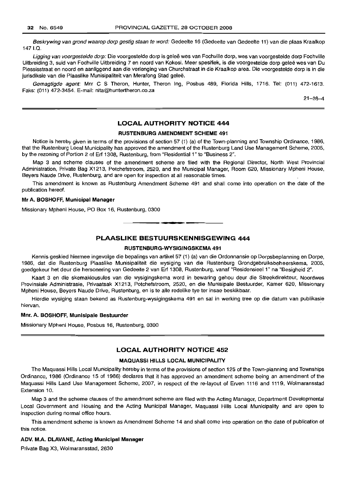Beskrywing van grond waarop dorp gestig staan te word: Gedeelte 16 (Gedeelte van Gedeelte 11) van die plaas Kraalkop 1471.0.

Ligging van voorgestelde dorp: Die voorgestelde dorp is geleë wes van Fochville dorp, wes van voorgestelde dorp Fochville Uitbreiding 3, suid van Fochville Uitbreiding 7 en noord van Kokosi. Meer spesifiek, is die voorgestelde dorp gelee wes van Du Plessisstraat en noord en aanliggend aan die verlenging van Churchstraat in die Kraalkop area. Die voorgestelde dorp is in die jurisdiksie van die Plaaslike Munisipaliteit van Merafong Stad geleë.

Gemagtigde agent: Mnr C S Theron, Hunter, Theron Ing, Posbus 489, Florida Hills, 1716. Tel: (011) 472-1613. Faks: (011) 472-3454. E-mail: nita@huntertheron.co.za

21-28-4

#### **LOCAL AUTHORITY NOTICE 444**

#### **RUSTENBURG AMENDMENT SCHEME 491**

Notice is hereby given in terms of the provisions of section 57 (1) (a) of the Town-planning and Township Ordinance, 1986, that the Rustenburg Local Municipality has approved the amendment of the Rustenburg Land Use Management Scheme, 2005, by the rezoning of Portion 2 of Erf 1308, Rustenburg, from "Residential 1" to "Business 2".

Map 3 and scheme clauses of the amendment scheme are filed with the Regional Director, North West Provincial Administration, Private Bag X1213, Potchefstroom, 2520, and the Municipal Manager, Room 620, Missionary Mpheni House, Beyers Naude Drive, Rustenburg, and are open for inspection at all reasonable times.

This amendment is known as Rustenburg Amendment Scheme 491 and shall come into operation on the date of the publication hereof.

#### **Mr A. BOSHOFF, Municipal Manager**

Missionary Mpheni House, PO Box 16, Rustenburg, 0300

**PLAASLIKE BESTUURSKENNISGEWING 444**

**• •**

#### **RUSTENBURG-WYSIGINGSKEMA 491**

Kennis geskied hiermee ingevolge die bepalings van artikel 57 (1) (a) van die Ordonnansie op Dorpsbeplanning en Dorpe, 1986, dat die Rustenburg Plaaslike Munisipaliteit die wysiging van die Rustenburg Grondgebruiksbeheerskema, 2005, goedgekeur het deur die hersonering van Gedeelte 2 van Erf 1308, Rustenburg, vanaf "Residensieel 1" na "Besigheid 2".

Kaart 3 en die skemaklousules van die wysigingskema word in bewaring gehou deur die Streekdirekteur, Noordwes Provinsiale Administrasie, Privaatsak X1213, Potchefstroom, 2520, en die Munisipale Bestuurder, Kamer 620, Missionary Mpheni House, Beyers Naude Drive, Rustenburg, en is te aile redelike tye ter insae beskikbaar.

Hierdie wysiging staan bekend as Rustenburg-wysigingskema 491 en sal in werking tree op die datum van publikasie hiervan. '

#### **Mnr. A. BOSHOFF, Munisipale Bestuurder**

Missionary Mpheni House, Posbus 16, Rustenburg, 0300

#### **LOCAL AUTHORITY NOTICE 452**

#### **MAQUASSI HILLS LOCAL MUNICIPALITY**

The Maquassi Hills Local Municipality hereby in terms of the provisions of section 125 of the Town-planning and Townships Ordinance, 1986 (Ordinance 15 of 1986) declares that it has approved an amendment scheme being an amendment of the Maquassi Hills Land Use Management Scheme, 2007, in respect of the re-Iayout of Erven 1116 and 1119, Wolmaransstad Extension 10.

Map 3 and the scheme clauses of the amendment scheme are filed with the Acting Manager, Department Developmental Local Government and Housing and the Acting Municipal Manager, Maquassi Hills Local Municipality and are open to inspection during normal office hours.

This amendment scheme is known as Amendment Scheme 14 and shall come into operation on the date of publication of this notice.

#### **ADV. M.A. DLAVANE, Acting Municipal Manager**

Private Bag X3, Wolmaransstad, 2630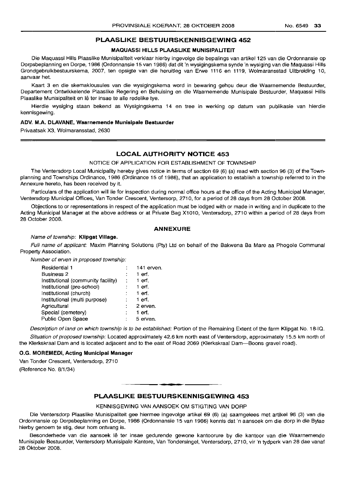#### **PLAASLIKE BESTUURSKENNISGEWING 452**

#### **MAQUASSI HILLS PLAASLIKE MUNISIPALITEIT**

Die Maquassi Hills Plaaslike Munisipaliteit verklaar hierby ingevolge die bepalings van artikel 125 van die Ordonnansie op Dorpsbeplanning en Dorpe, 1986 (Ordonnansie 15 van 1986) dat dit 'n wysigingskema synde 'n wysiging van die Maquassi Hills Grondgebruikbestuurskema, 2007, ten opsigte van die heruitleg van Erwe 1116 en 1119, Wolmaransstad Uitbreiding 10, aanvaar het.

Kaart 3 en die skemaklousules van die wysigingskema word in bewaring gehou deur die Waarnemende Bestuurder, Departement Ontwikkelende Plaaslike Regering en Behuising en die Waarnemende Munisipale Bestuurder, Maquassi Hills Plaaslike Munisipaliteit en lê ter insae te alle redelike tye.

Hierdie wysiging staan bekend as Wysigingskema 14 en tree in werking op datum van publikasie van hierdie kennisgewing.

#### ADV.. **M.A. DLAVANE, Waarnemende Munisipale Bestuurder**

Privaatsak X3, Wolmaransstad, 2630

#### **LOCAL AUTHORITY NOTICE 453**

#### NOTICE OF APPLICATION FOR ESTABLISHMENT OF TOWNSHIP

The Ventersdorp Local Municipality hereby gives notice in terms of section 69 (6) (a) read with section 96 (3) of the Townplanning and Townships Ordinance, 1986 (Ordinance 15 of 1986), that an application to establish a township referred to in the Annexure hereto, has been received by it.

Particulars of the application will lie for inspection during normal office hours at the office of the Actinq Municipal Manager, Ventersdorp Municipal Offices, Van Tonder Crescent, Ventersorp, 2710, for a period of 28 days from 28 October 2008.

Objections to or representations in respect of the application must be lodged with or made in writing and in duplicate to the Acting Municipal Manager at the above address or at Private Bag X1010, Ventersdorp, 2710 within a period of 28 days from 28 October 2008.

#### **ANNEXURE**

#### Name of township: **Klipgat Village.**

Full name of applicant: Maxim Planning Solutions (Pty) Ltd on behalf of the Bakwena Ba Mare aa Phogole Communal Property Association.

Number of erven in proposed township:

| Residential 1                      | 141 erven. |
|------------------------------------|------------|
| <b>Business 2</b>                  | $1$ erf.   |
| Institutional (community facility) | 1 erf.     |
| Institutional (pre-school)         | $1$ erf.   |
| Institutional (church)             | 1 erf.     |
| Institutional (multi purpose)      | 1 erf.     |
| Agricultural                       | 2 erven.   |
| Special (cemetery)                 | 1 erf.     |
| Public Open Space                  | 5 erven.   |

Description of land on which township is to be established: Portion of the Remaining Extent of the farm Klipgat No. 18-10. Situation of proposed township: Located approximately 42.6 km north east of Ventersdorp, approximately 15.5 km north of the Klerkskraal Dam and is located adjacent and to the east of Road 2069 (Klerkskraal Dam-Boons gravel road).

#### O.G. **MOREMEDi, Acting Municipal Manager**

Van Tonder Crescent, Ventersdorp, 2710 (Reference No. 8/1/34)

#### **PLAASLIKE BESTUURSKENNISGEWING 453**

KENNISGEWING VAN AANSOEK OM STIGTING VAN DORP

Die Ventersdorp Plaaslike Munisipaliteit gee hiermee ingevolge artikel 69 (6) (a) saamgelees met artikel 96 (3) van die Ordonnansie op Dorpsbeplanning en Dorpe, 1986 (Ordonnansie 15 van 1986) kennis dat 'n aansoek om die dorp in die Bylae hierby genoem te stig, deur hom ontvang is.

Besonderhede van die aansoek Ie ter insae gedurende gewone kantoorure by die kantoor van die Waarnemende Munisipale Bestuurder, Ventersdorp Munisipale Kantore, Van Tondersingel, Ventersdorp, 2710, vir 'n tydperk van 28 dae vanaf 28 Oktober 2008.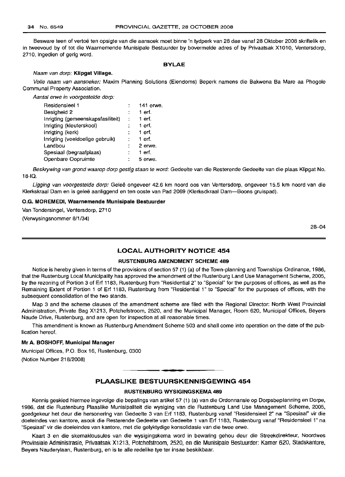Besware teen of vertoë ten opsigte van die aansoek moet binne 'n tydperk van 28 dae vanaf 28 Oktober 2008 skriftelik en in tweevoud by of tot die Waarnemende Munisipale Bestuurder by bovermelde adres of by Privaatsak X1010, Ventersdorp, 2710, ingedien of gerig word.

#### **BYLAE**

#### Naam van dorp: **Klipgat Village.**

Volle naam van aansoeker: Maxim Planning Solutions (Eiendoms) Beperk namens die Bakwena Ba Mare aa Phogole Communal Property Association.

Aantal erwe in voorgestelde dorp:

| Residensieel 1                    |    | 141 erwe. |
|-----------------------------------|----|-----------|
| Besigheid 2                       |    | 1 erf.    |
| Inrigting (gemeenskapsfasiliteit) | t. | 1 erf.    |
| Inrigting (kleuterskool)          |    | 1 erf.    |
| Inrigting (kerk)                  |    | 1 erf.    |
| Inrigting (veeldoelige gebruik)   |    | 1 erf.    |
| Landbou                           |    | 2 erwe.   |
| Spesiaal (begraafplaas)           |    | 1 erf.    |
| Openbare Oopruimte                |    | 5 erwe.   |

Beskrywing van grond waarop dorp gestig staan te word: Gedeelte van die Resterende Gedeelte van die plaas Klipgat No. 18-10.

Ligging van voorgestelde dorp: Geleë ongeveer 42.6 km noord oos van Ventersdorp, ongeveer 15.5 km noord van die Klerkskraal Dam en is gelee aanliggend en ten ooste van Pad 2069 (Klerksdkraal Dam-Boons gruispad).

#### O.G. **MOREMEDI, Waarnemende Munisipale Bestuurder**

Van Tondersingel, Ventersdorp, 2710

(Verwysingsnommer 8/1/34)

28-04

#### **LOCAL AUTHORITY NOTICE 454**

#### **RUSTENBURG AMENDMENT SCHEME 489**

Notice is hereby given in terms of the provisions of section 57 (1) (a) of the Town-planning and Townships Ordinance, 1986, that the Rustenburg Local Municipality has approved the amendment of the Rustenburg Land Use Management Scheme, 2005, by the rezoning of Portion 3 of Ert 1183, Rustenburg from "Residential 2" to "Special" for the purposes of offices, as well as the Remaining Extent of Portion 1 of Ert 1183, Rustenburg from "Residential 1" to "Special" for the purposes of offices, with the subsequent consolidation of the two stands.

Map 3 and the scheme clauses of the amendment scheme are filed with the Regional Director: North West Provincial Administration, Private Bag X1213, Potchefstroom, 2520, and the Municipal Manager, Room 620, Municipal Offices, Beyers Naude Drive, Rustenburg, and are open for inspection at all reasonable times.

This amendment is known as Rustenburg Amendment Scheme 503 and shall come into operation on the date of the publication hereof.

#### **Mr A.** BOSHOFF, **Municipal Manager**

Municipal Offices, P.O. Box 16, Rustenburg, 0300 (Notice Number 218/2008)

#### **PLAASLIKE BESTUURSKENNISGEWING 454**

**• •**

#### **RUSTENBURG WYSIGINGSKEMA 489**

Kennis geskied hiermee ingevolge die bepalings van artikel 57 (1) (a) van die Ordonnansie op Dorpsbeplanning en Dorpe, 1986, dat die Rustenburg Plaaslike Munisipaliteit die wysiging van die Rustenburg Land Use Management Scheme, 2005, goedgekeur het deur die hersonering van Gedeelte 3 van Ert 1183, Rustenburg vanaf "Residensieel 2" na "Spesiaal" vir die doeleindes van kantore, asook die Resterende Gedeelte van Gedeelte 1 van Ert 1183, Rustenburg vanaf "Residensieel 1" na "Spesiaal" vir die doeleindes van kantore, met die gelyktydige konsolidasie van die twee erwe.

Kaart 3 en die skemaklousules van die wysigingskema word in bewaring gehou deur die Streekdirekteur, Noordwes Provinsiale Administrasie, Privaatsak X1213, Potchefstroom, 2520, en die Munisipale Bestuurder: Kamer 620, Stadskantore, Beyers Nauderylaan, Rustenburg, en is te aile redelike tye ter insae beskikbaar.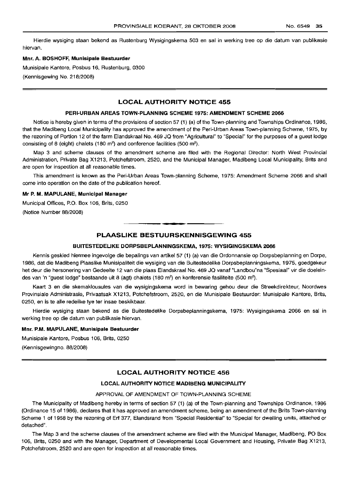Hierdie wysiging staan bekend as Rustenburg Wysigingskema 503 en sal in werking tree op die datum van publikasie hiervan.

#### Mnr. A. BOSHOFF, Munisipale Bestuurder

Munisipale Kantore, Posbus 16, Rustenburg, 0300 (Kennisgewing No. 218/2008)

#### LOCAL AUTHORITY NOTICE 455

#### PERI-URBAN AREAS TOWN-PLANNING SCHEME 1975: AMENDMENT SCHEME 2066

Notice is hereby given in terms of the provisions of section 57 (1) (a) of the Town-planning and Townships Ordinance, 1986, that the Madibeng Local Municipality has approved the amendment of the Peri-Urban Areas Town-planning Scheme, 1975, by the rezoning of Portion 12 of the farm Elandskraal No. 469 JQ from "Agricultural" to "Special" for the purposes of a guest lodge consisting of 8 (eight) chalets (180 m<sup>2</sup>) and conference facilities (500 m<sup>2</sup>).

Map 3 and scheme clauses of the amendment scheme are filed with the Regional Director: North West Provincial Administration, Private Bag X1213, Potchefstroom, 2520, and the Municipal Manager, Madibeng Local Municipality, Brits and are open for inspection at all reasonable times.

This amendment is known as the Peri-Urban Areas Town-planning Scheme, 1975: Amendment Scheme 2066 and shall come into operation on the date of the publication hereof.

#### Mr P. M. MAPULANE, Municipal Manager

Municipal Offices, P.O. Box 106, Brits, 0250 (Notice Number 88/2008)

#### PLAASLIKE BESTUURSKENNISGEWING 455

I **• •**

#### BUITESTEDELIKE DORPSBEPLANNINGSKEMA, 1975: WYSIGINGSKEMA 2066

Kennis geskied hiermee ingevolge die bepalings van artikel 57 (1) (a) van die Ordonnansie op Dorpsbeplanning en Dorpe, 1986, dat die Madibeng Plaaslike Munisipaliteit die wysiging van die Buitestedelike Dorpsbeplanningskema, 1975, goedgekeur het deur die hersonering van Gedeelte 12 van die plaas Elandskraal No. 469 JQ vanaf "Landbou"na "Spesiaal" vir die doeleindes van 'n "guest lodge" bestaande uit 8 (agt) chalets (180 m<sup>2</sup>) en konferensie fasiliteite (500 m<sup>2</sup>).

Kaart 3 en die skemaklousules van die wysigingskema word in bewaring gehou deur die Streekdirekteur, Noordwes Provinsiale Administrasie, Privaatsak X1213, Potchefstroom, 2S20, en die Munisipale Bestuurder: Munisipale Kantore, Brits, 0250, en is te aile redelike tye ter insae beskikbaar.

Hierdie wysiging staan bekend as die Buitestedelike Dorpsbeplanningskema, 1975: Wysigingskema 2066 en sal in werking tree op die datum van publikasie hiervan.

#### Mnr. P.M. MAPULANE, Munisipale Bestuurder

Munisipale Kantore, Posbus 106, Brits, 0250 (Kennisgewingno. 88/2008)

#### LOCAL AUTHORITY NOTICE 456

#### LOCAL AUTHORITY NOTICE MADIBENG MUNICIPALITY

#### APPROVAL OF AMENDMENT OF TOWN-PLANNING SCHEME

The Municipality of Madibeng hereby in terms of section 57 (1) (a) of the Town-planning and Townships Ordinance, 1986 (Ordinance 15 of 1986), declares that it has approved an amendment scheme, being an amendment of the Brits Town-planning Scheme 1 of 1958 by the rezoning of Erf 377, Elandsrand from "Special Residential" to "Special for dwellinq units, attached or detached".

The Map 3 and the scheme clauses of the amendment scheme are filed with the Municipal Manager, Madibeng, PO Box 106, Brits, 0250 and with the Manager, Department of Developmental Local Government and Housing, Private Bag X1213, Potchefstroom, 2520 and are open for inspection at all reasonable times.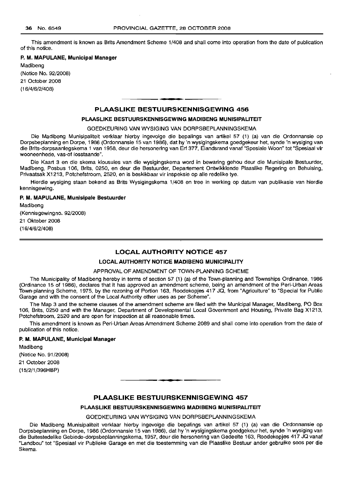This amendment is known as Brits Amendment Scheme 1/408 and shall come into operation from the date of publication of this notice.

## **P. M. MAPULANE, Municipal Manager**

Madibeng (Notice No. 92/2008) 21 October 2008 (16/4/6/2/408)

#### **PLAASLIKE BESTUURSKENNISGEWING 456**

**- .**

#### **PLAASLIKE BESTUURSKENNISGEWING MADIBENG MUNISIPALITEIT**

GOEDKEURING VAN WYSIGING VAN DORPSBEPLANNINGSKEMA

Die Madibeng Munisipaliteit verklaar hierby ingevolge die bepalings van artikel 57 (1) (a) van die Ordonnansie op Dorpsbeplanning en Dorpe, 1986 (Ordonnansie 15 van 1986), dat hy 'n wysigingskema goedgekeur het, synde 'n wysiging van die Brits-dorpsaanlegskema 1 van 1958, deur die hersonering van Erf 377, Elandsrand vanaf "Spesiale Woon" tot "Spesiaal vir wooneenhede, vas-of losstaande".

Die Kaart 3 en die skema klousules van die wysigingskema word in bewaring gehou deur die Munisipale Bestuurder, Madibeng, Posbus 106, Brits, 0250, en deur die Bestuurder, Departement Ontwikklende Plaaslike Regering en Behuising, Privaatsak X1213, Potchefstroom, 2520, en is beskikbaar vir inspeksie op aile redelike tye.

Hierdie wysiging staan bekend as Brits Wysigingskema 1/408 en tree in werking op datum van publikasie van hierdie kennisgewing.

#### **P. M. MAPULANE, Munisipale Bestuurder**

Madibeng (Kennisgewingno. 92/2008) 21 Oktober 2008 (16/4/6/2/408)

#### **LOCAL AUTHORITY NOTICE 457**

#### **LOCAL AUTHORITY NOTICE MADIBENG MUNICIPALITY**

#### APPROVAL OF AMENDMENT OF TOWN-PLANNING SCHEME

The Municipality of Madibeng hereby in terms of section 57 (1) (a) of the Town-planning and Townships Ordinance, 1986 (Ordinance 15 of 1986), declares that it has approved an amendment scheme, being an amendment of the Peri-Urban Areas Town-planning Scheme, 1975, by the rezoning of Portion 163, Roodekopjes 417 JQ, from "Agriculture" to "Special for Public Garage and with the consent of the Local Authority other uses as per Scheme".

The Map 3 and the scheme clauses of the amendment scheme are filed with the Municipal Manager, Madibeng, PO Box 106, Brits, 0250 and with the Manager, Department of Developmental Local Government and Housing, Private Bag X1213, Potchefstroom, 2520 and are open for inspection at all reasonable times.

This amendment is known as Peri-Urban Areas Amendment Scheme 2089 and shall come into operation from the date of publication of this notice. .

#### **P. M. MAPULANE, Municipal Manager**

Madibeng (Notice No. 91/2008) 21 October 2008 (15/2/1/396HBP)

#### **PLAASLIKE BESTUURSKENNISGEWING 457**

**• •**

#### **PLAASLIKE BESTUURSKENNISGEWING MADIBENG MUNISIPALITEIT**

GOEDKEURING VAN WYSIGING VAN DORPSBEPLANNINGSKEMA

Die Madibeng Munisipaliteit verklaar hierby ingevolge die bepalings van artikel 57 (1) (a) van die Ordonnansie op Dorpsbeplanning en Dorpe, 1986 (Ordonnansie 15 van 1986), dat hy 'n wysigingskema goedgekeur het, synde 'n wysiging van die Buitestedelike Gebiede-dorpsbeplanningskema, 1957, deur die hersonering van Gedeelte 163, Roodekopjes 417 JQ vanaf "Landbou" tot "Spesiaal vir Publieke Garage en met die toestemming van die Plaaslike Bestuur ander gebruike 5005 per die Skema.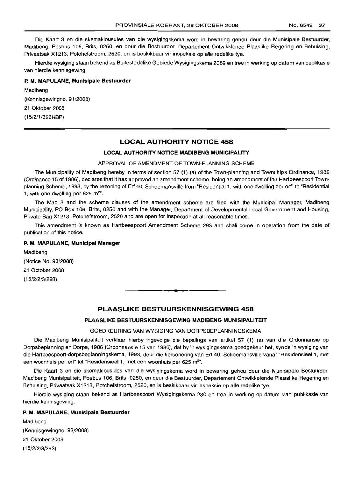Die Kaart 3 en die skemaklousules van die wysigingskema word in bewaring gehou deur die Munisipale Bestuurder, Madibeng, Posbus 106, Brits, 0250, en deur die Bestuurder, Departement Ontwikklende Plaaslike Regering en Behuising, Privaatsak X1213, Potchefstroom, 2520, en is beskikbaar vir inspeksie op aile redelike tye.

Hierdie wysiging staan bekend as Buitestedelike Gebiede Wysigingskema 2089 en tree in werking op datum van publikasie van hierdie kennisgewing.

#### **P. M. MAPULANE, Munisipale Bestuurder**

Madibeng (Kennisgewingno. 91/2008) 21 Oktober 2008 (15/2/1/396HBP)

#### **LOCAL AUTHORITY NOTICE 458**

#### **LOCAL AUTHORITY NOTICE MADIBENG MUNICIPALITY**

#### APPROVAL OF AMENDMENT OF TOWN-PLANNING SCHEME

The Municipality of Madibeng hereby in terms of section 57 (1) (a) of the Town-planning and Townships Ordinance, 1986 (Ordinance 15 of 1986), declares that it has approved an amendment scheme, being an amendment of the Hartbeespoort Townplanning Scheme, 1993, by the rezoning of Erf 40, Schoemansville from "Residential 1, with one dwelling per erf' to "Residential 1, with one dwelling per 625  $\mathrm{m}^{2}$ .

The Map 3 and the scheme clauses of the amendment scheme are filed with the Municipal Manager, Madibeng Municipality, PO Box 106, Brits, 0250 and with the Manager, Department of Developmental Local Government and Housing, Private Bag X1213, Potchefstroom, 2520 and are open for inspection at all reasonable times.

This amendment is known as Hartbeespoort Amendment Scheme 293 and shall come in operation from the date of publication of this notice.

#### **P. M. MAPULANE, Municipal Manager**

Madibeng (Notice No. 93/2008) 21 October 2008 (15/2/2/3/293)

#### **PLAASLIKE BESTUURSKENNISGEWING 458**

**• •**

#### **PLAASLIKE BESTUURSKENNISGEWING MADIBENG MUNISIPALITEIT**

#### GOEDKEURING VAN WYSIGING VAN DORPSBEPLANNINGSKEMA

Die Madibeng Munisipaliteit verklaar hierby ingevolge die bepalings van artikel 57 (1) (a) van die Ordonnansie op Dorpsbeplanning en Dorpe, 1986 (Ordonnansie 15 van 1986), dat hy 'n wysigingskema goedgekeur het, synde 'n wysiging van die Hartbeespoort-dorpsbeplanningskema, 1993, deur die hersonering van Erf 40, Schoemansville vanaf "Residensieel 1, met een woonhuis per erf" tot "Residensieel 1, met een woonhuis per 625 m<sup>2</sup>".

Die Kaart 3 en die skemaklousules van die wysigingskema word in bewaring gehou deur die Munisipale Bestuurder, Madibeng Munisipaliteit, Posbus 106, Brits, 0250, en deur die Bestuurder, Departement Ontwikkelende Plaaslike Regering en Behuising, Privaatsak X1213, Potchefstroom, 2520, en is beskikbaar vir inspeksie op aile redelike tye.

Hierdie wysiging staan bekend as Hartbeespoort Wysigingskema 230 en tree in werking op datum van publikasie van hierdie kennisgewing.

#### **P. M. MAPULANE, Munisipale Bestuurder**

Madibeng (Kennisgewingno. 93/2008) 21 Oktober 2008 (15/2/2/3/293)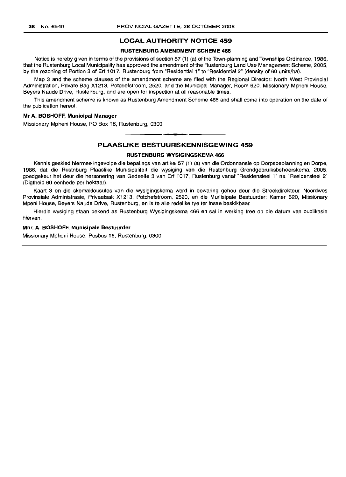#### **LOCAL AUTHORITY NOTICE 459**

#### **RUSTENBURG AMENDMENT SCHEME 466**

Notice is hereby given in terms of the provisions of section 57 (1) (a) of the Town-planning and Townships Ordinance, 1986, that the Rustenburg Local Municipality has approved the amendment of the Rustenburg Land Use Management Scheme, 2005, by the rezoning of Portion 3 of Erf 1017, Rustenburg from "Residential 1" to "Residential 2" (density of 60 units/ha).

Map 3 and the scheme clauses of the amendment scheme are filed with the Regional Director: North West Provincial Administration, Private Bag X1213, Potchefstroom, 2520, and the Municipal Manager, Room 620, Missionary Mpheni House, Beyers Naude Drive, Rustenburg, and are open for inspection at all reasonable times.

This amendment scheme is known as Rustenburg Amendment Scheme 466 and shall come into operation on the date of the publication hereof.

#### **Mr A. BOSHOFF, Municipal Manager**

Missionary Mpheni House, PO Box 16, Rustenburg, 0300

#### **PLAASLIKE BESTUURSKENNISGEWING 459**

**• •**

#### **RUSTENBURG WYSIGINGSKEMA 466**

Kennis geskied hiermee ingevolge die bepalings van artikel 57 (1) (a) van die Ordonnansie op Dorpsbeplanning en Dorpe, 1986, dat die Rustnburg Plaaslike Munisipaliteit die wysiging van die Rustenburg Grondgebruiksbeheerskema, 2005, goedgekeur het deur die hersonering van Gedeelte 3 van Erf 1017, Rustenburg vanaf "Residensieel 1" na "Residensieel 2" (Digtheid 60 eenhede per hektaar).

Kaart 3 en die skemaklousules van die wysigingskema word in bewaring gehou deur die Streekdirekteur, Noordwes Provinsiale Administrasie, Privaatsak X1213, Potchefstroom, 2520, en die Munisipale Bestuurder: Kamer 620, Missionary Mpeni House, Beyers Naude Drive, Rustenburg, en is te aile redelike tye ter insae beskikbaar.

Hierdie wysiging staan bekend as Rustenburg Wysigingskema 466 en sal in werking tree op die datum van publikasie hiervan.

#### **Mnr. A. BOSHOFF, Munisipale Bestuurder**

Missionary Mpheni House, Posbus 16, Rustenburg, 0300